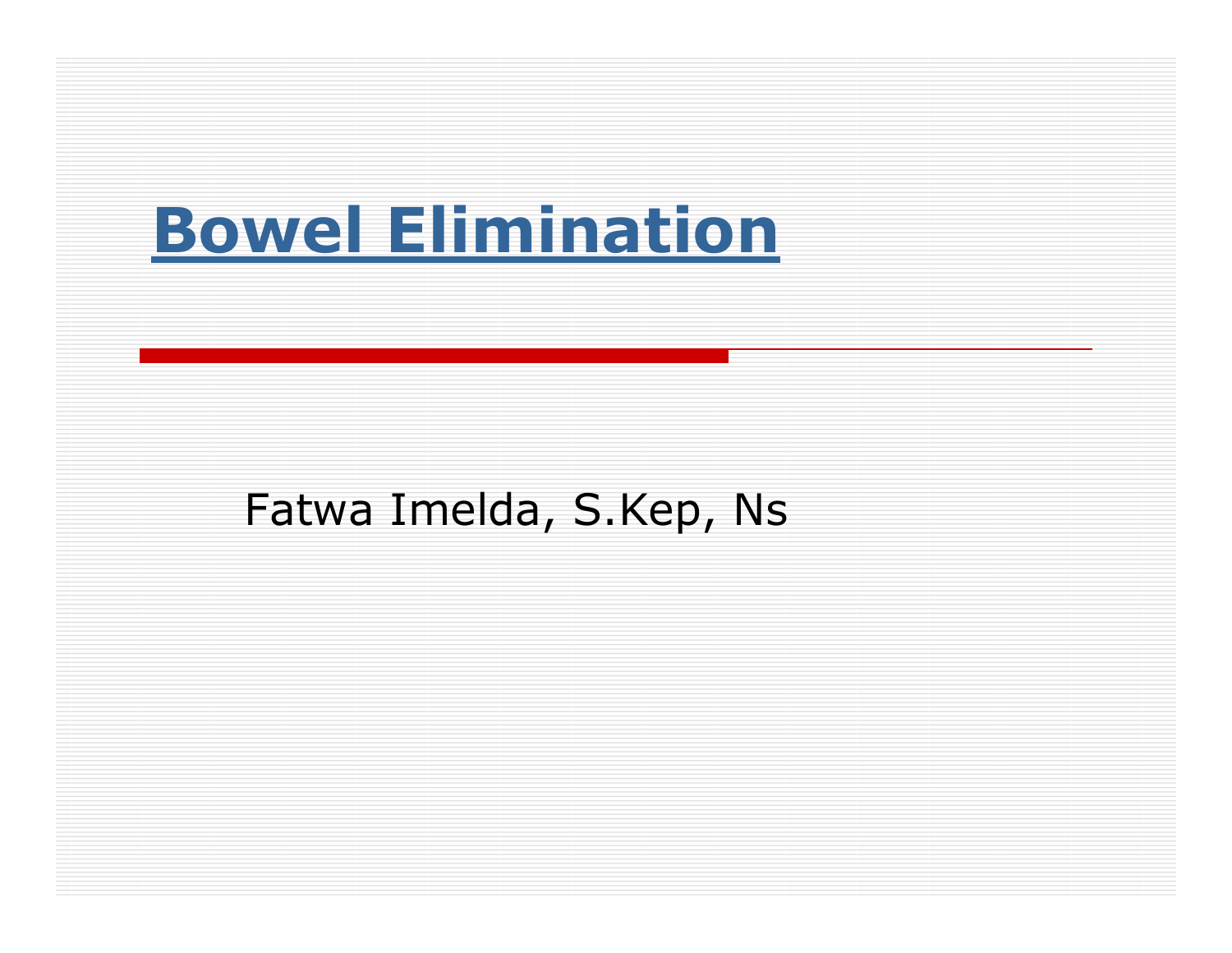# Bowel Elimination

#### Fatwa Imelda, S.Kep, Ns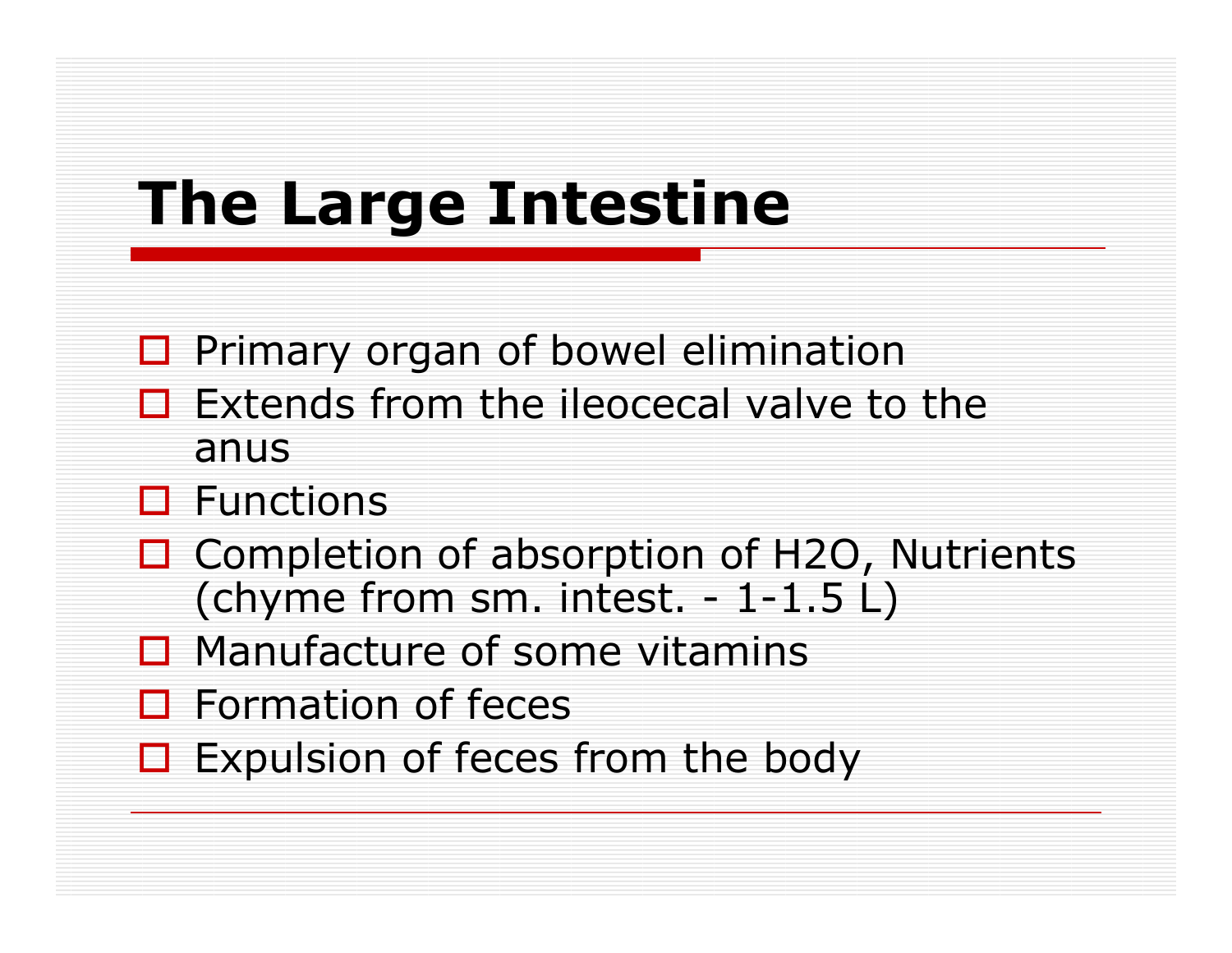## The Large Intestine

- **Q** Primary organ of bowel elimination
- $\Box$  Extends from the ileocecal valve to the anis anus
- **O** Functions<br>D Campletial
- $\Box$  Completion of absorption of H2O, Nutrients<br>
Chyme from sm intest 1-1 5 U (chyme from sm. intest.  $-1-1.5$  L)
- □ Manufacture of some vitamins
- □ Formation of feces
- $\Box$  Expulsion of feces from the body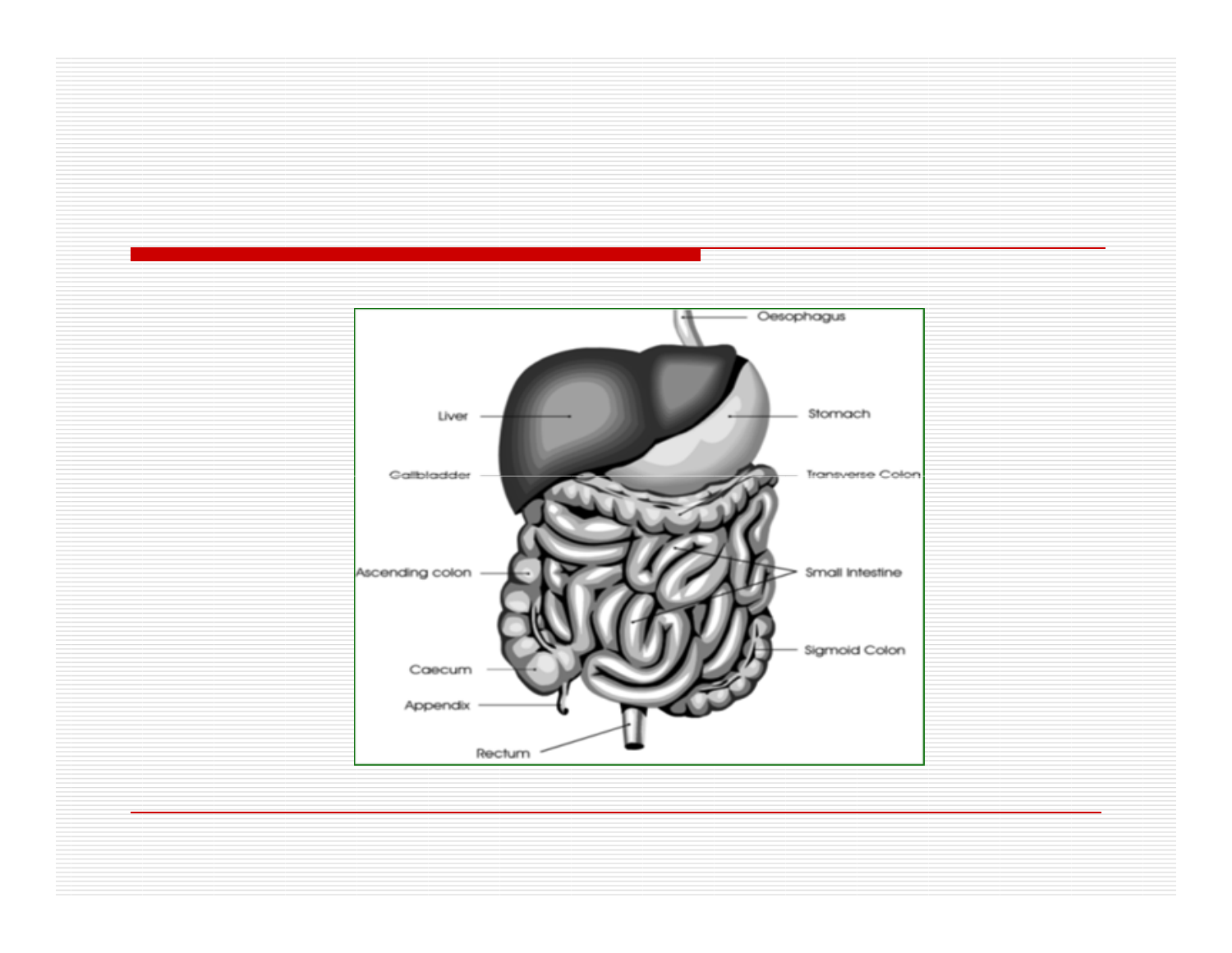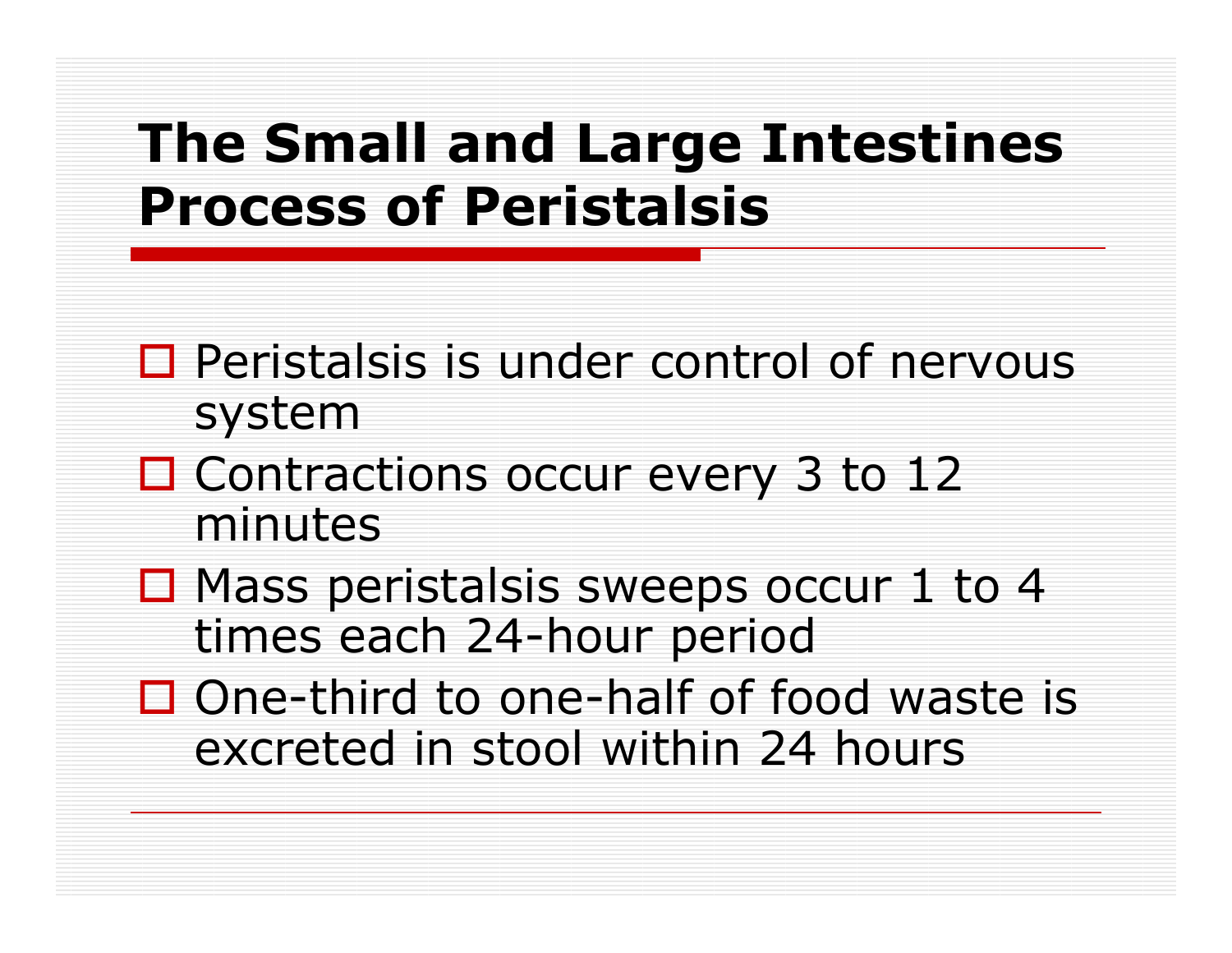### The Small and Large IntestinesProcess of Peristalsis

- $\Box$  Peristalsis is under control of nervous system system
- □ Contractions occur every 3 to 12 minutes
- $\Box$  Mass peristalsis sweeps occur 1 to 4<br>times each 24-hour neriod times each 24-hour period
- $\square$  One-third to one-half of food waste is  $\square$ excreted in stool within 24 hours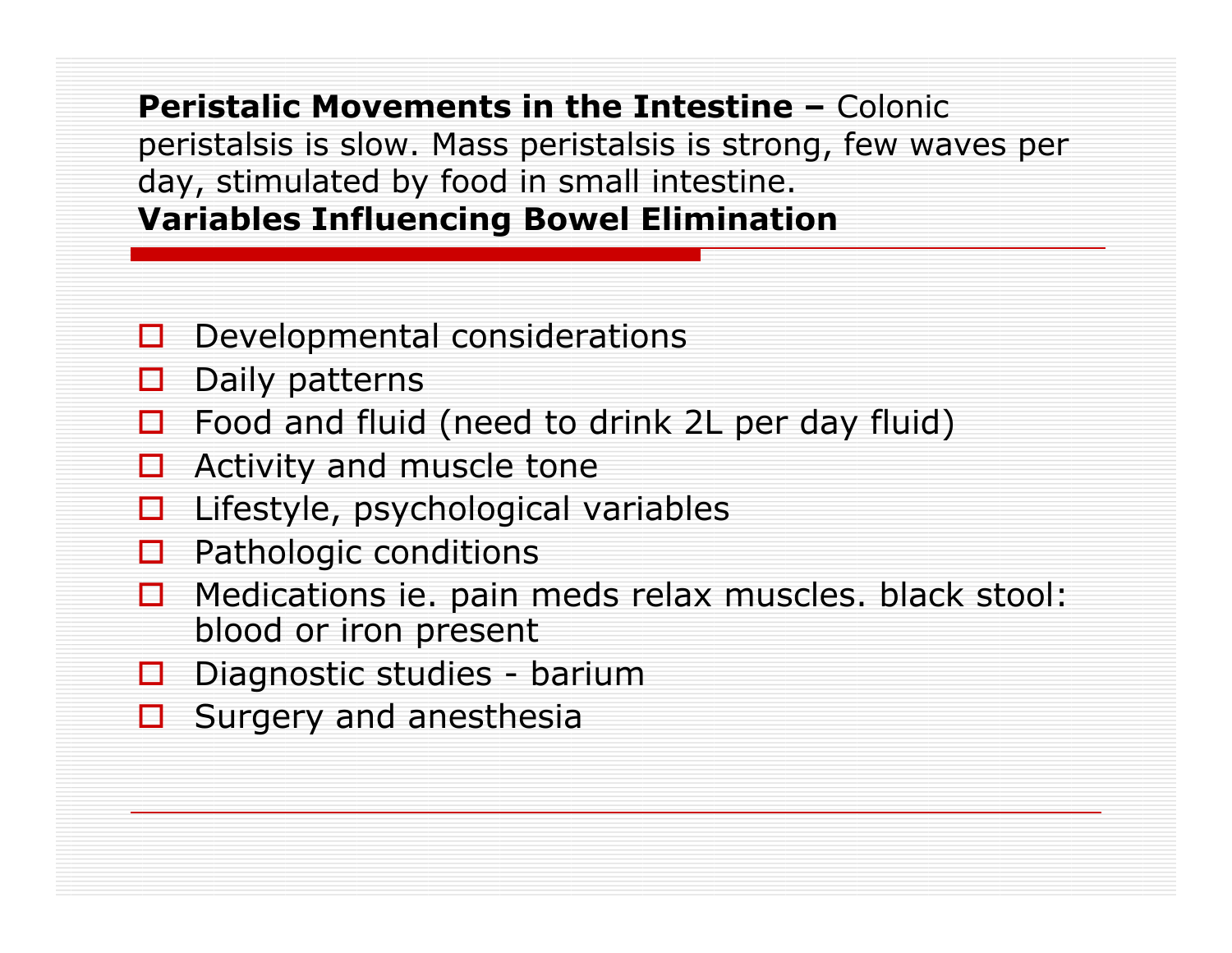Peristalic Movements in the Intestine – Colonic peristalsis is slow. Mass peristalsis is strong, few waves per day, stimulated by food in small intestine.Variables Influencing Bowel Elimination

- $\Box$ Developmental considerations
- □ Daily patterns
- П Food and fluid (need to drink 2L per day fluid)
- 0 Activity and muscle tone
- □ Lifestyle, psychological variables
- П Pathologic conditions
- $\Box$  Medications ie. pain meds relax muscles. black stool: blood or iron present
- D Diagnostic studies barium<br>D Surgery and anesthesia
- □ Surgery and anesthesia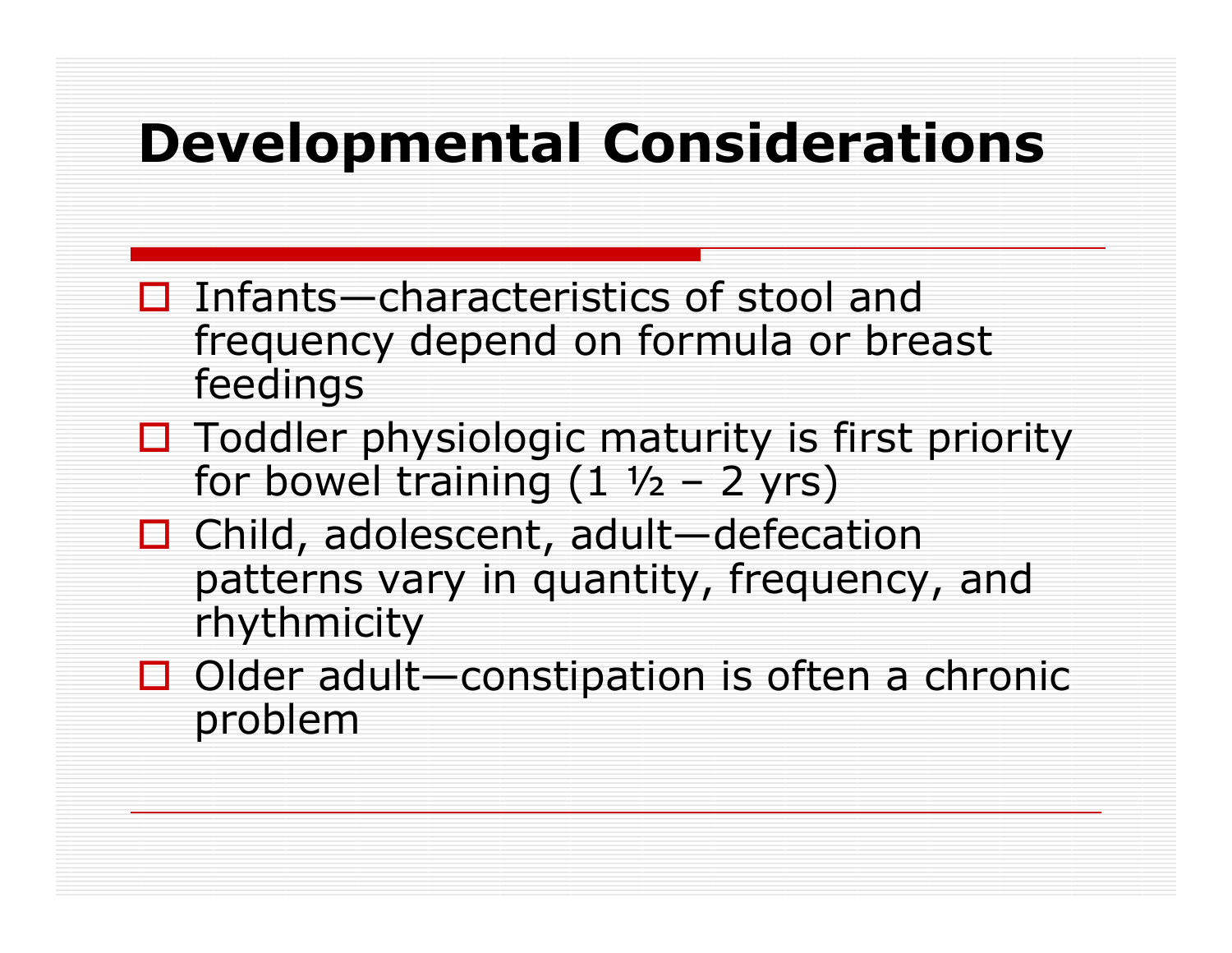### Developmental Considerations

- $\Box$  Infants—characteristics of stool and<br>frequency denend on formula or hrea frequency depend on formula or breast feedings
- $\Box$  Toddler physiologic maturity is first priority<br>for bowel training (1.1/2 2 vrs) for bowel training (1 ½ 2 yrs)
- □ Child, adolescent, adult—defecation<br>Child, adolescent, adult—defecation patterns vary in quantity, frequency, and rhythmicity
- □ Older adult—constipation is often a chronic<br>problem problem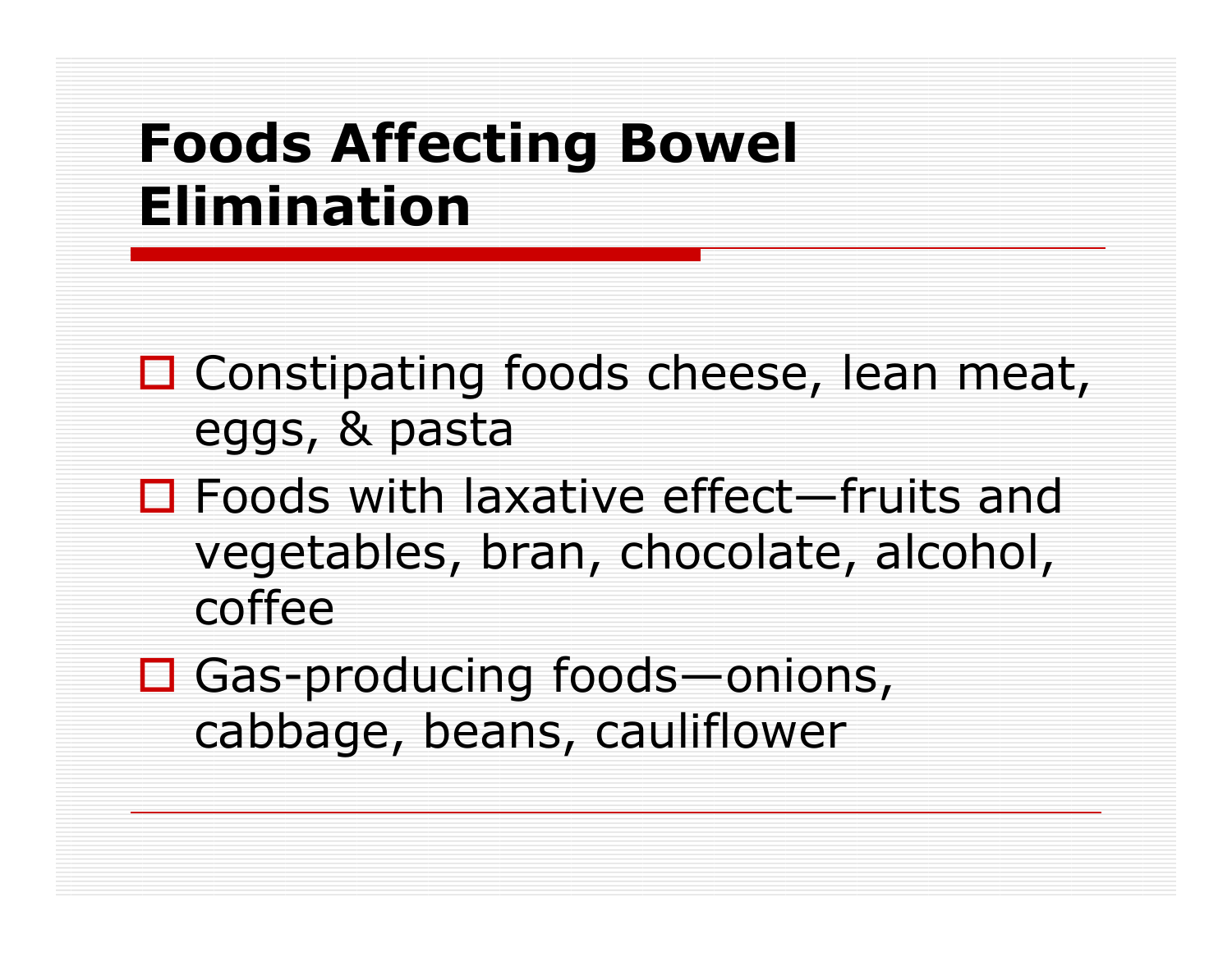### Foods Affecting Bowel Elimination

- □ Constipating foods cheese, lean meat, eggs, & pasta
- **□ Foods with laxative effect—fruits and**<br>Useshing hran chocolate alcohol vegetables, bran, chocolate, alcohol, coffee
- □ Gas-producing foods—onions, cabbage, beans, cauliflower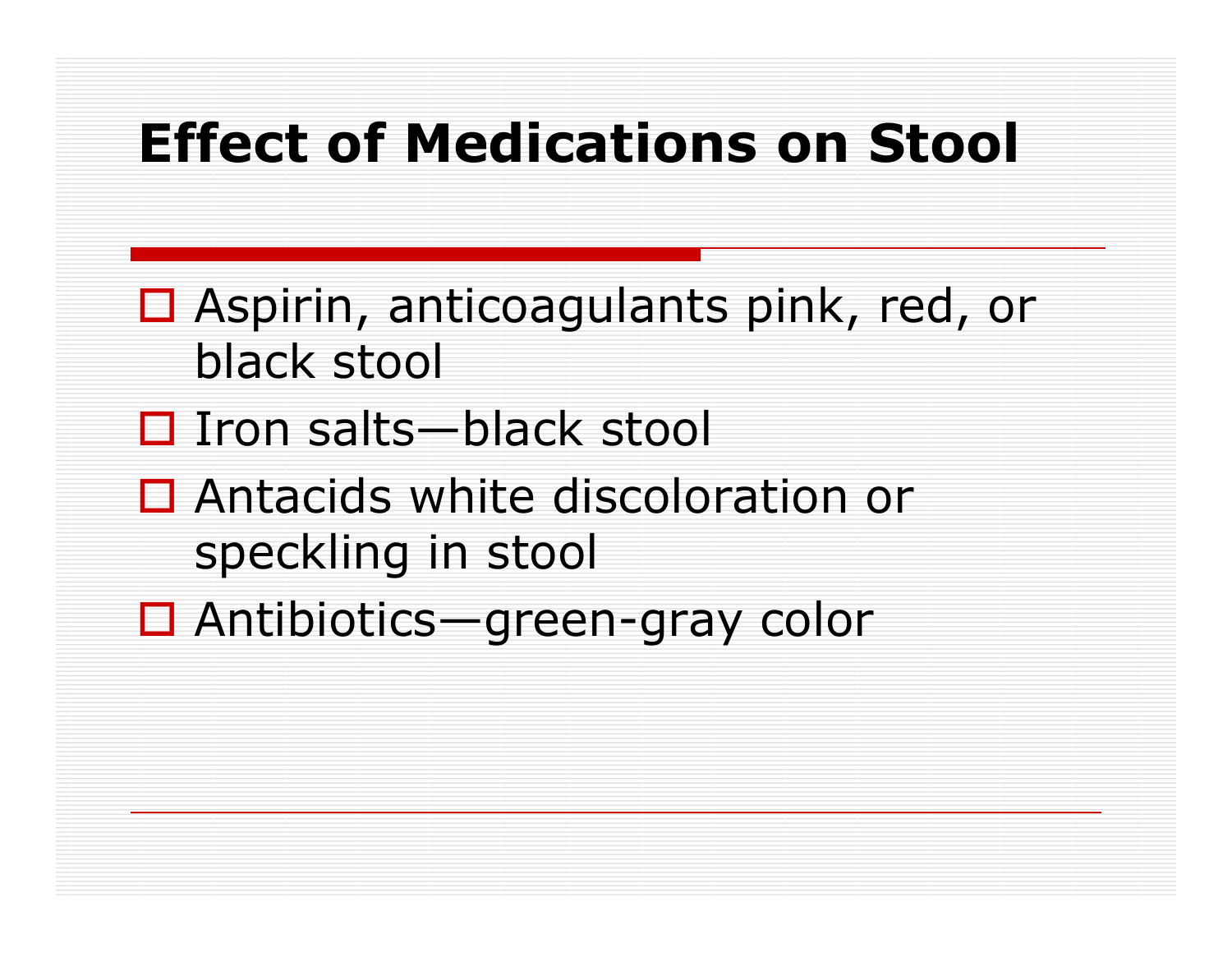### Effect of Medications on Stool

- □ Aspirin, anticoagulants pink, red, or black stool
- □ Iron salts—black stool
- **□** Antacids white discoloration or speckling in stool
- Antibiotics—green-gray color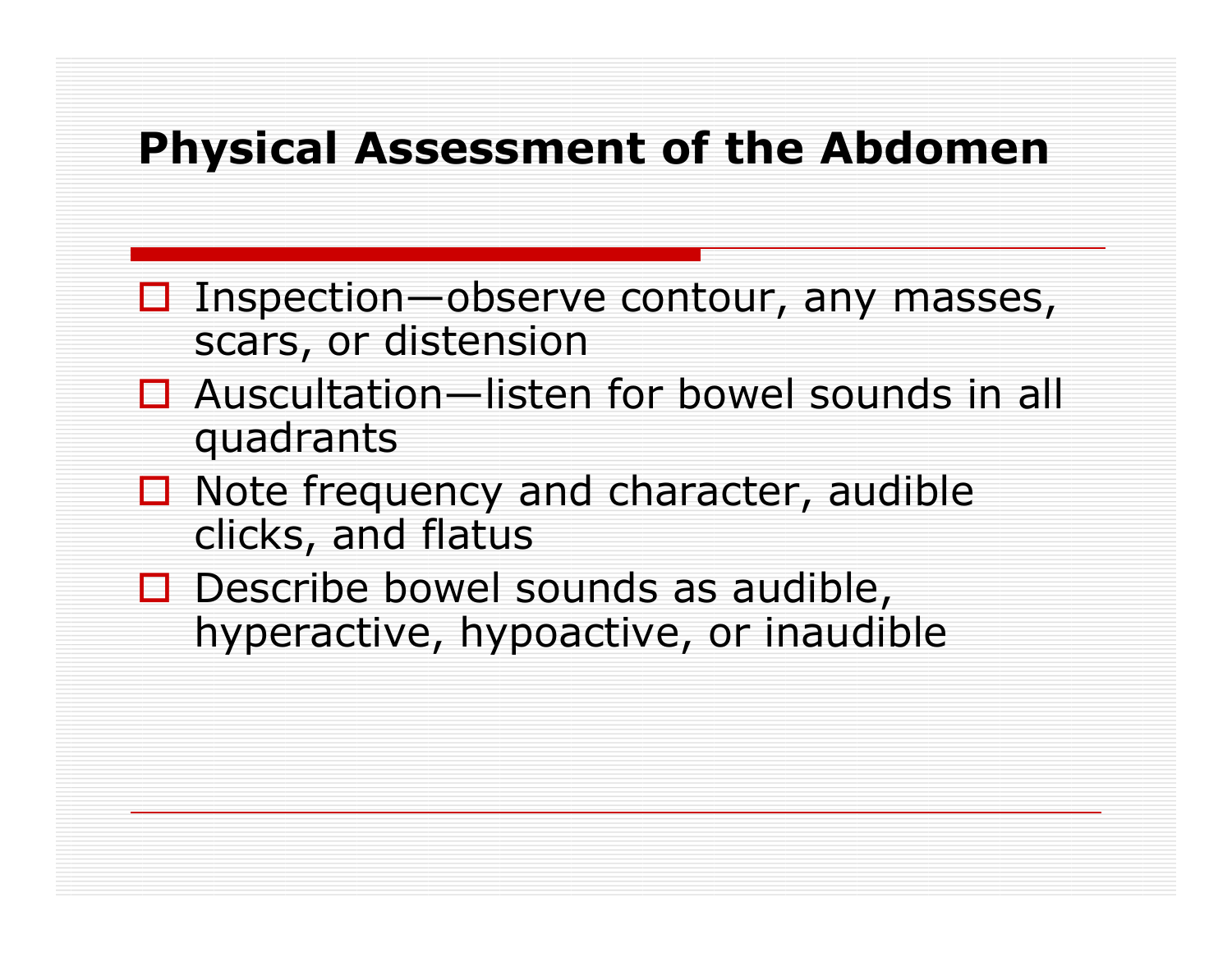#### Physical Assessment of the Abdomen

- $\Box$  Inspection—observe contour, any masses,<br>scars, or distension scars, or distension
- $\Box$  Auscultation—listen for bowel sounds in all and ranks quadrants
- $\Box$  Note frequency and character, audible clicks and flatus clicks, and flatus
- Describe bowel sounds as audible,<br>hyneractive hynoactive or inaudih hyperactive, hypoactive, or inaudible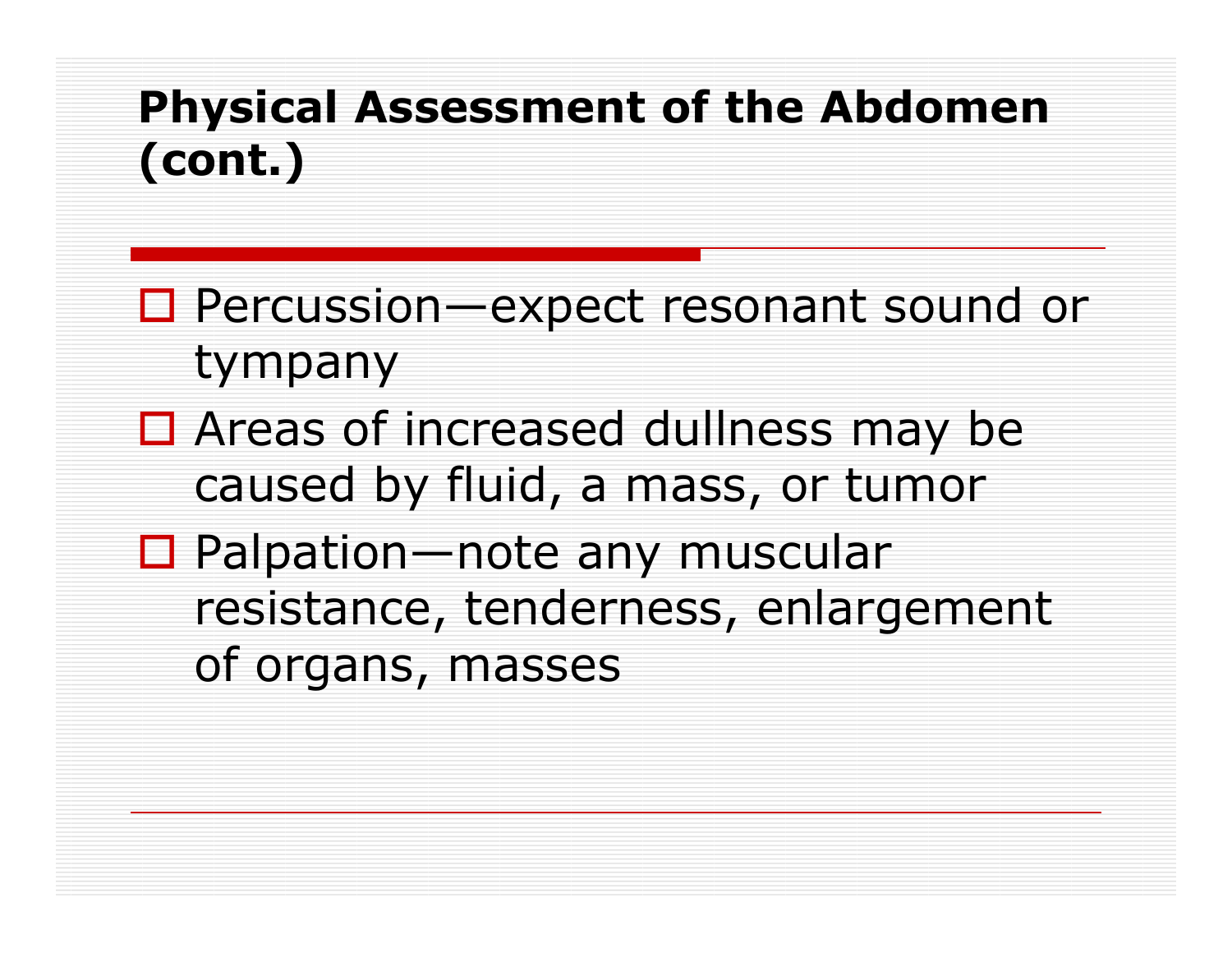### Physical Assessment of the Abdomen (cont.)

- □ Percussion—expect resonant sound or<br>twnnany tympany
- $\Box$  Areas of increased dullness may be  $\Box$  and  $\Box$  mass or tumor caused by fluid, a mass, or tumor
- □ Palpation—note any muscular resistance, tenderness, enlargement of organs, masses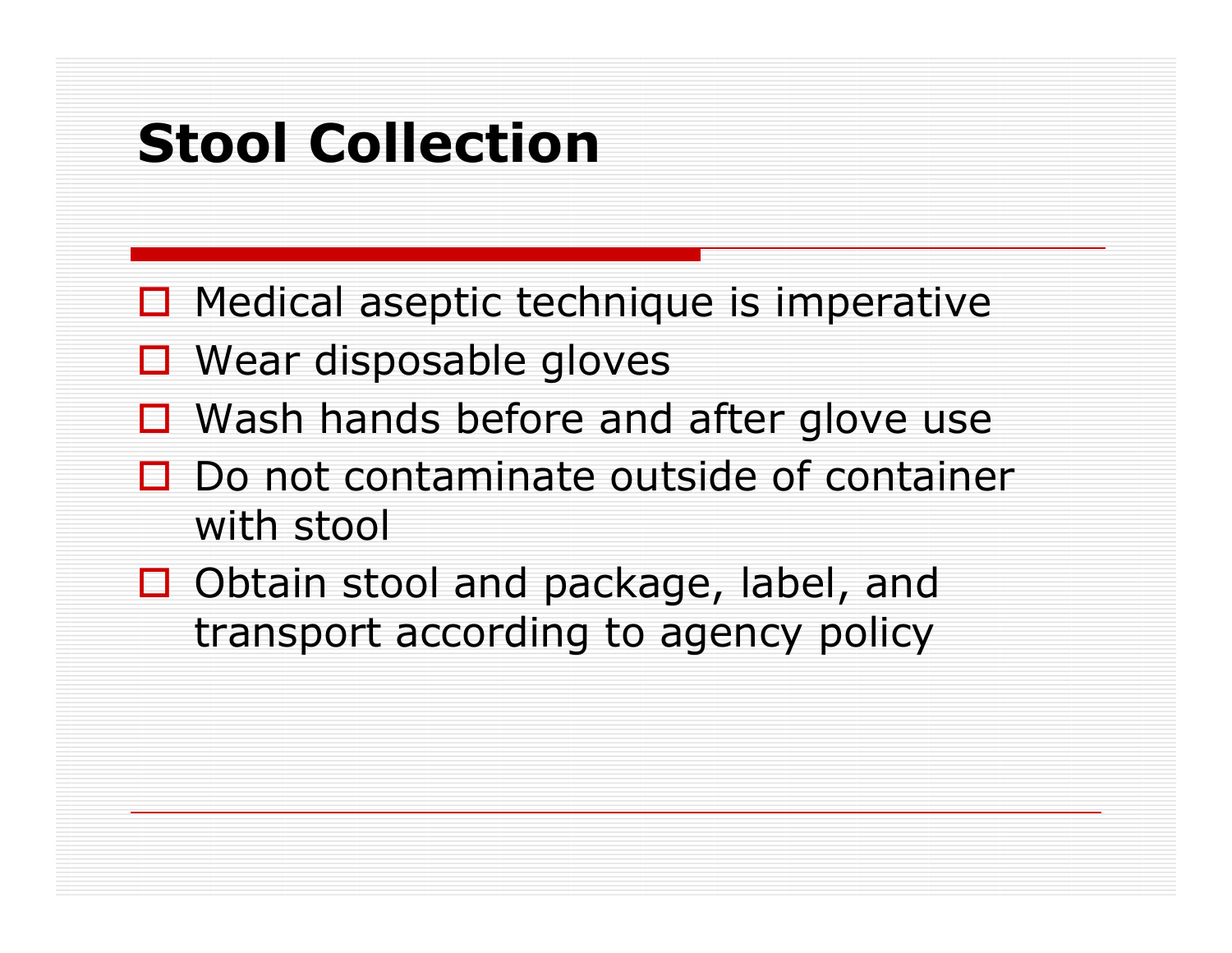### Stool Collection

- □ Medical aseptic technique is imperative
- □ Wear disposable gloves
- $\Box$  Wash hands before and after glove use
- $\Box$  Do not contaminate outside of container with stool
- Obtain stool and package, label, and<br>transport according to agency policy transport according to agency policy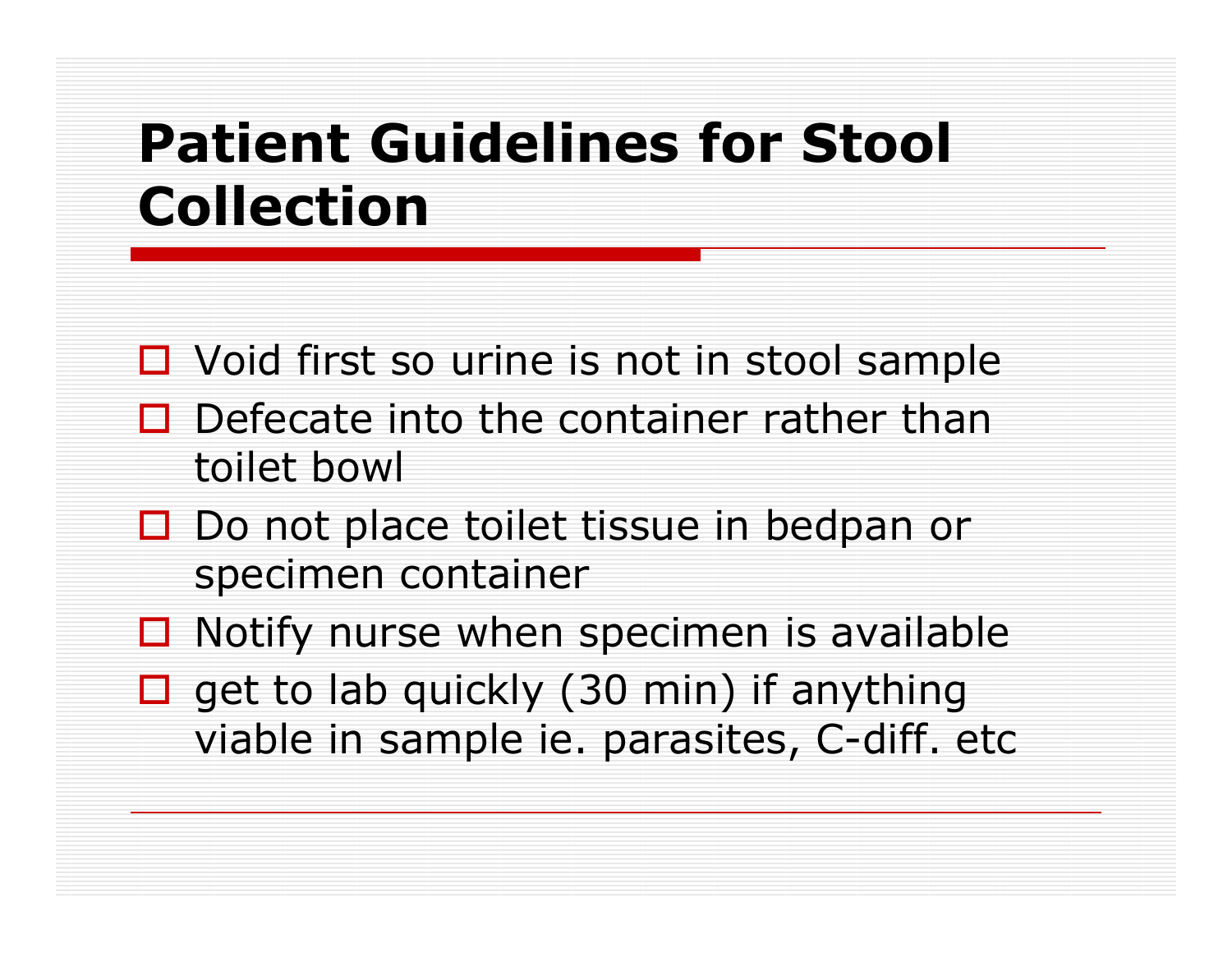### Patient Guidelines for Stool Collection

- $\Box$  Void first so urine is not in stool sample
- $\Box$  Defecate into the container rather than<br>toilet howl toilet bowl
- $\Box$  Do not place toilet tissue in bedpan or specimen container
- $\Box$  Notify nurse when specimen is available
- $\square$  get to lab quickly (30 min) if anything<br> viable in sample ie. parasites, C-diff. etc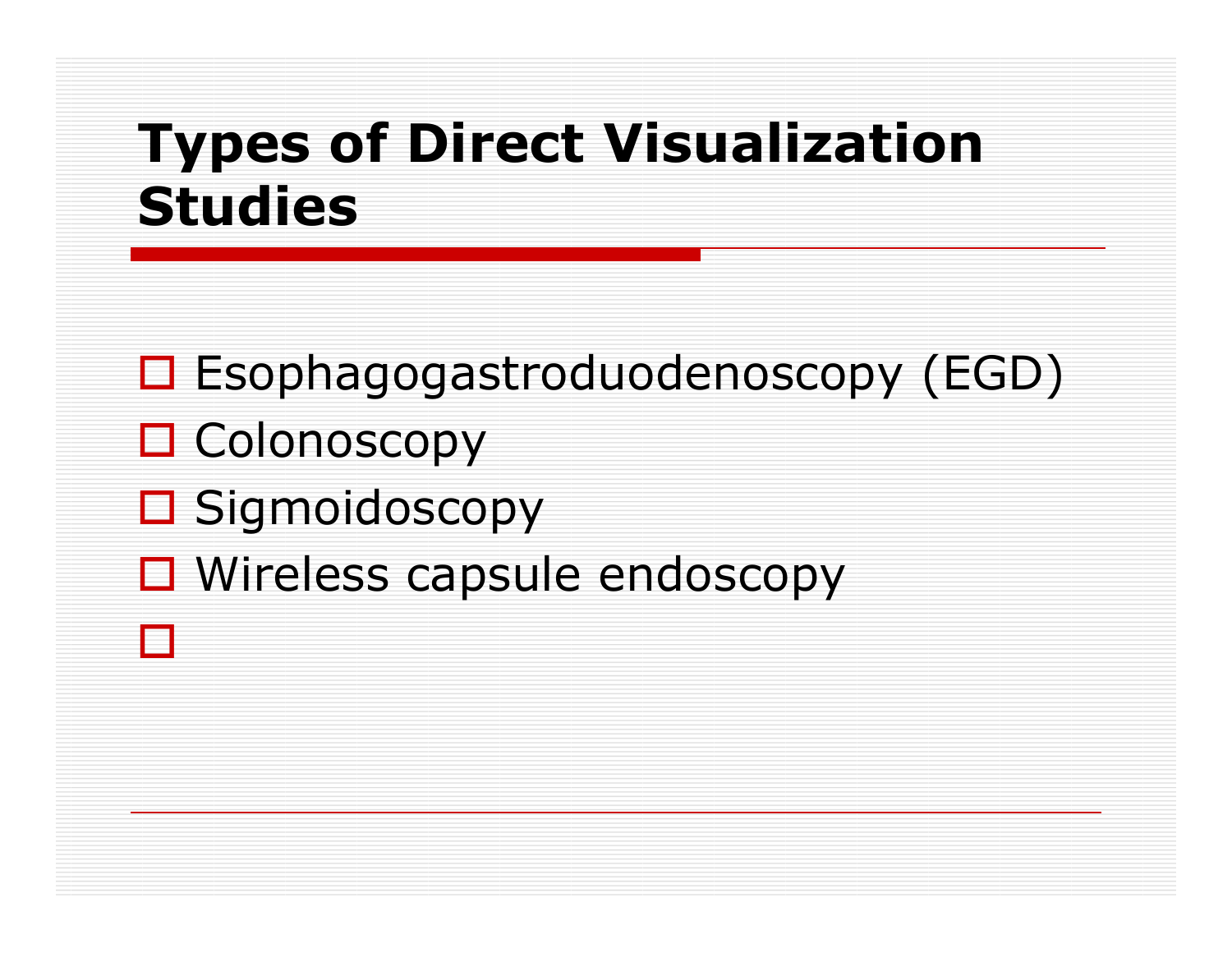### Types of Direct Visualization Studies

□ Esophagogastroduodenoscopy (EGD) □ Colonoscopy<br>□ Gi □ Sigmoidoscopy □ Wireless capsule endoscopy  $\Box$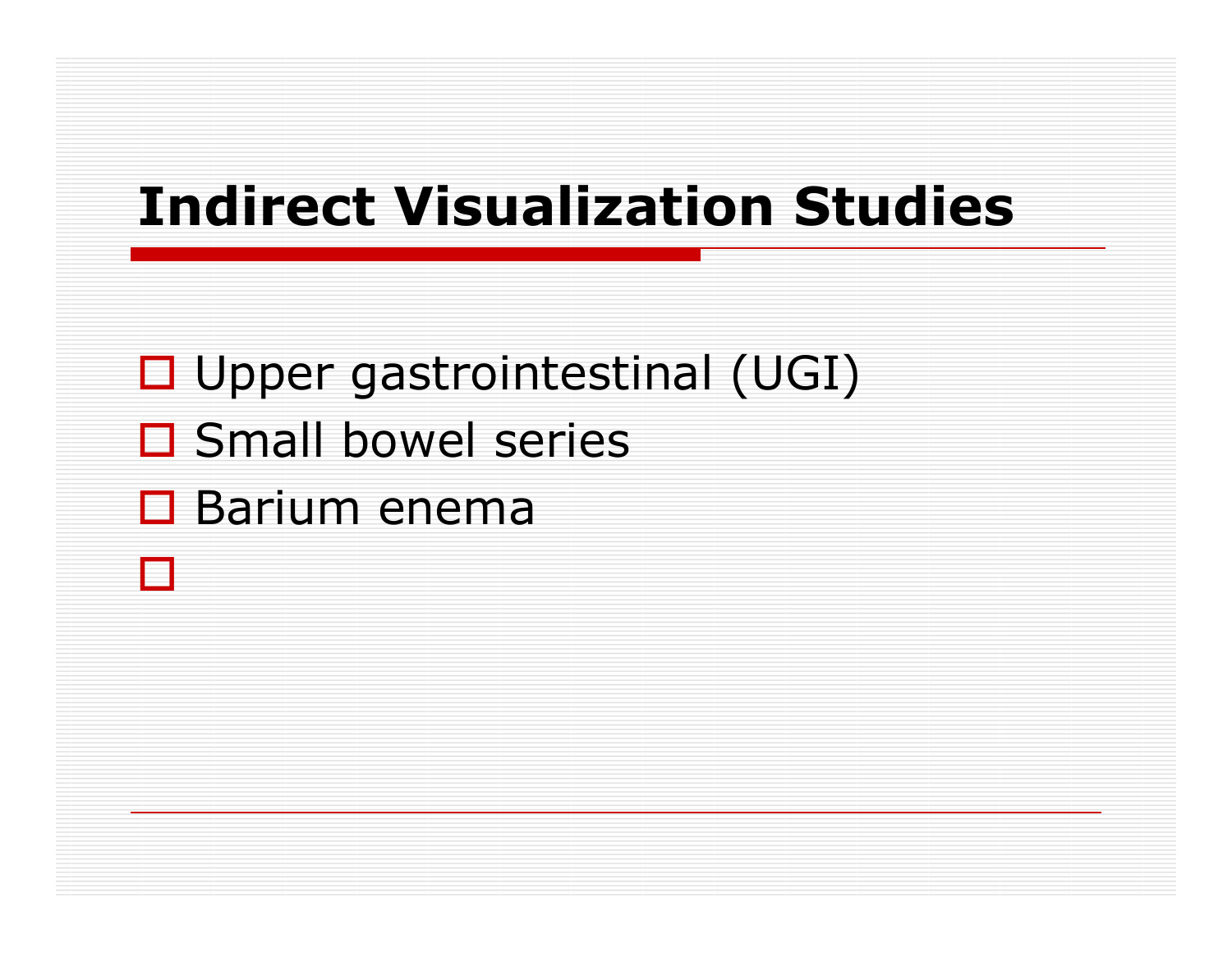### Indirect Visualization Studies

- □ Upper gastrointestinal (UGI)
- □ Small bowel series
- □ Barium enema<br>□

 $\Box$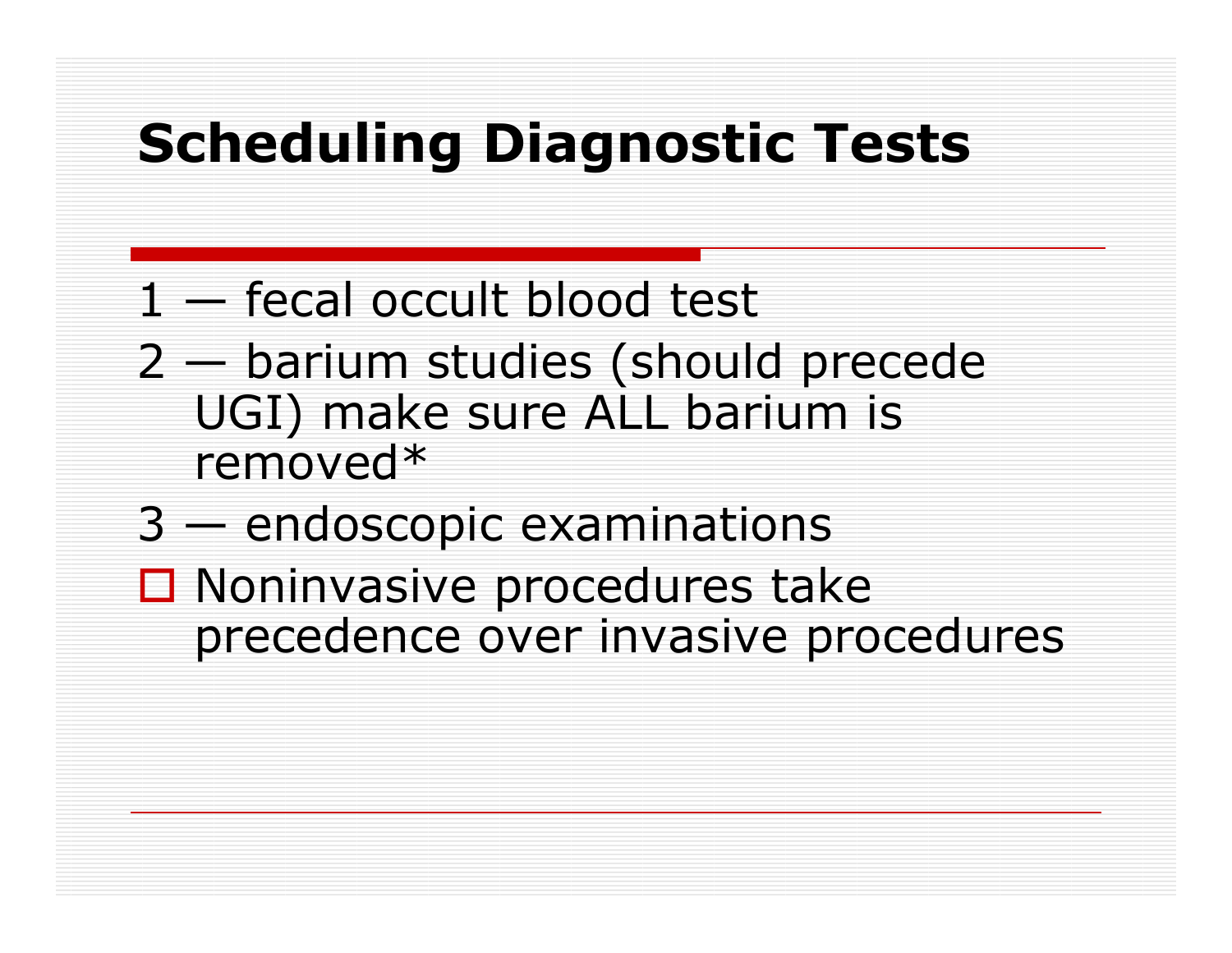## Scheduling Diagnostic Tests

- 1 fecal occult blood test
- 2 barium studies (should precede UGI) make sure ALL barium is removed\*
- 3 endoscopic examinations
- □ Noninvasive procedures take<br>District over invasive pro precedence over invasive procedures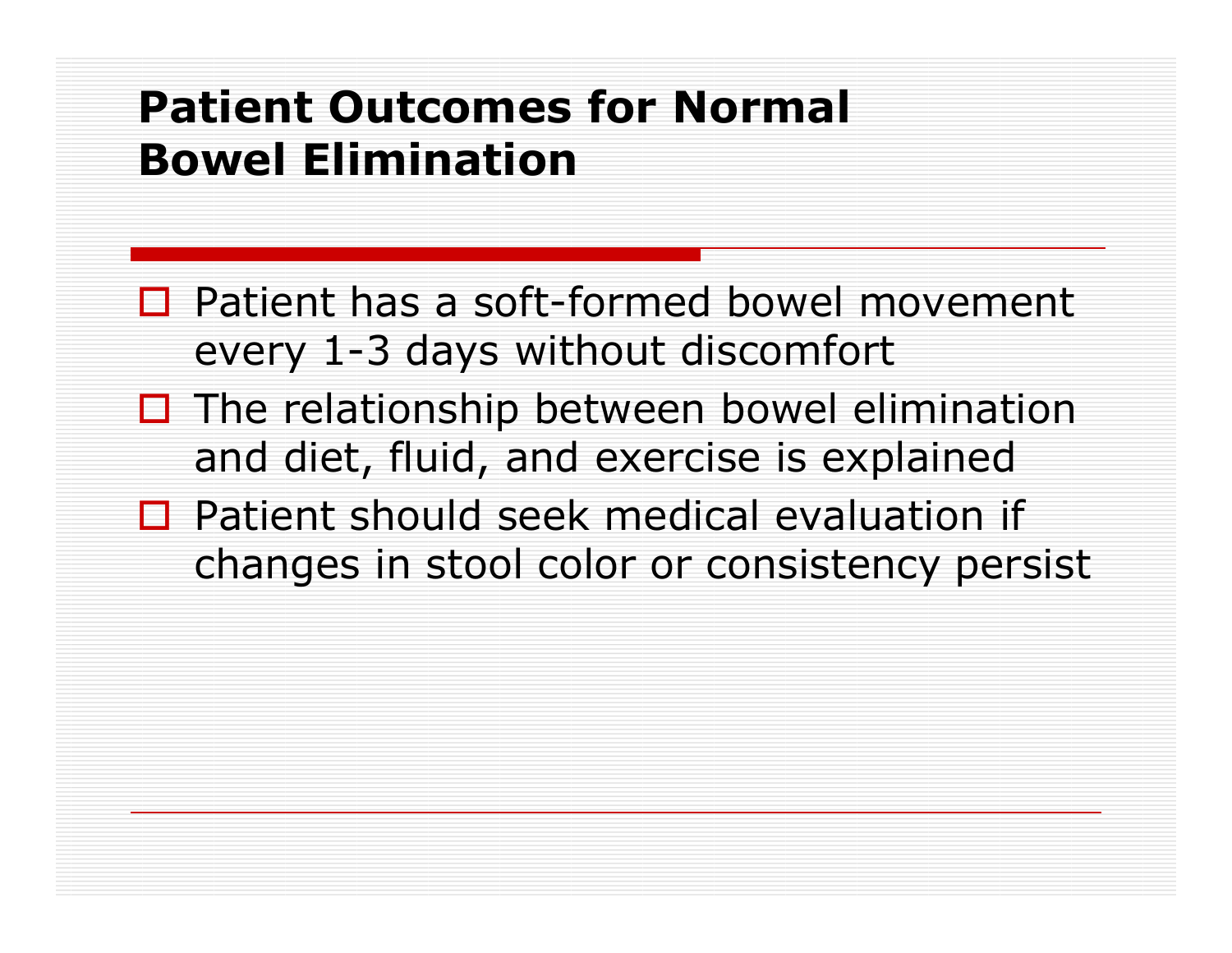#### Patient Outcomes for Normal Bowel Elimination

- $\Box$  Patient has a soft-formed bowel movement every 1-3 days without discomfort
- $\Box$  The relationship between bowel elimination  $\Box$ and diet, fluid, and exercise is explained
- $\Box$  Patient should seek medical evaluation if  $\Box$ changes in stool color or consistency persist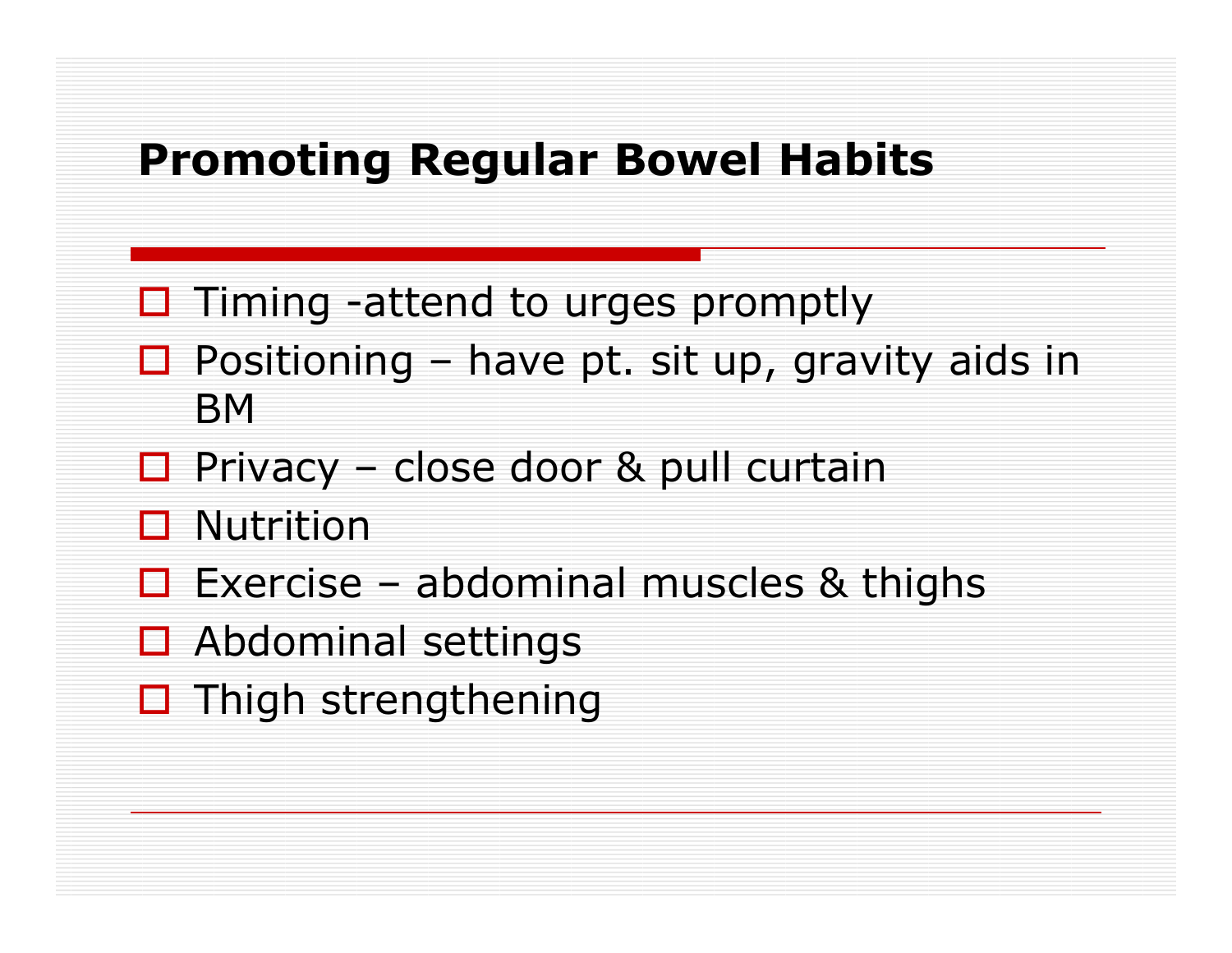#### Promoting Regular Bowel Habits

- □ Timing -attend to urges promptly
- $\Box$  Positioning have pt. sit up, gravity aids in RM **BM**
- □ Privacy<br>□ N U iii –– close door & pull curtain
- ロ Nutrition<br>ー ー
- $\Box$  Exercise abdominal muscles & thighs
- **O** Abdominal settings
- □ Thigh strengthening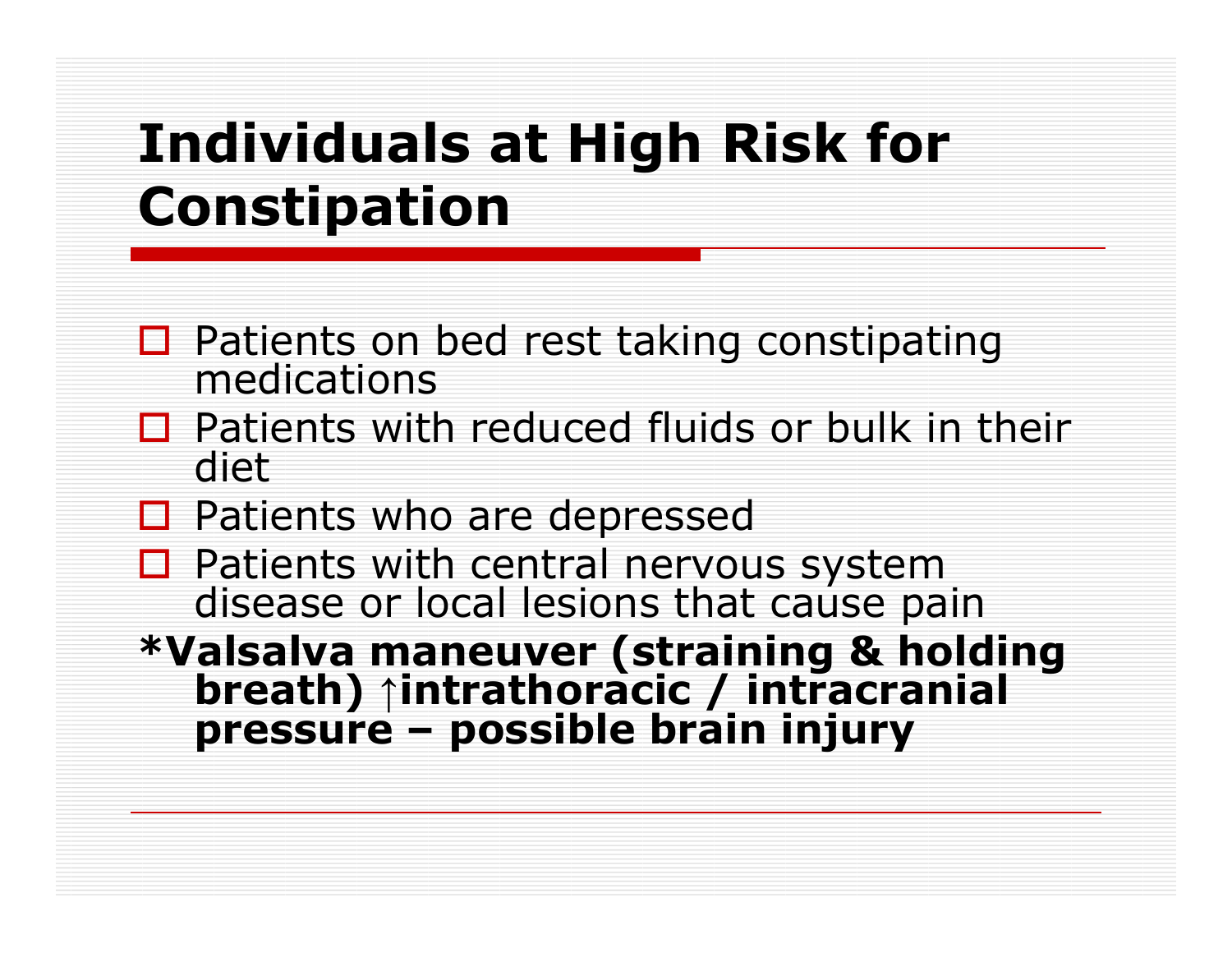### Individuals at High Risk for Constipation

- **□ Patients on bed rest taking constipating**<br>medications
- $\Box$  Patients with reduced fluids or bulk in their diet diet
- □ Patients who are depressed<br>□ Patients with central nervou
- $\Box$  Patients with central nervous system disease or local lesions that cause pain
- \*Valsalva maneuver (straining & holding breath) ↑intrathoracic / intracranial pressure – possible brain injury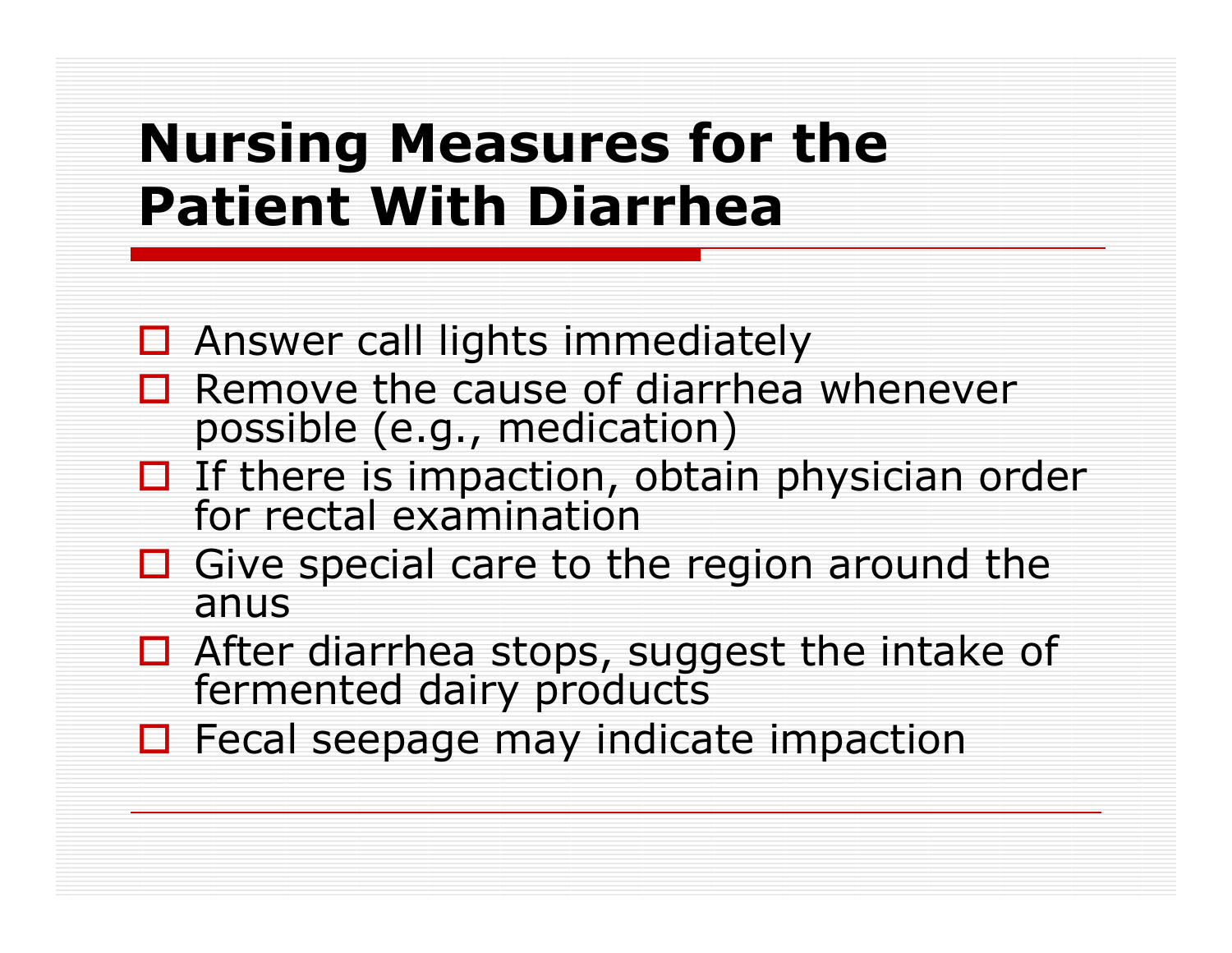### Nursing Measures for the Patient With Diarrhea

- $\Box$  Answer call lights immediately
- $\Box$  Remove the cause of diarrhea whenever<br>possible (e.g., medication) possible (e.g., medication)
- $\Box$  If there is impaction, obtain physician order for rectal examination
- $\Box$  Give special care to the region around the anus anus
- □ After diarrhea stops, suggest the intake of<br>fermented dairy products
- $\Box$  Fecal seepage may indicate impaction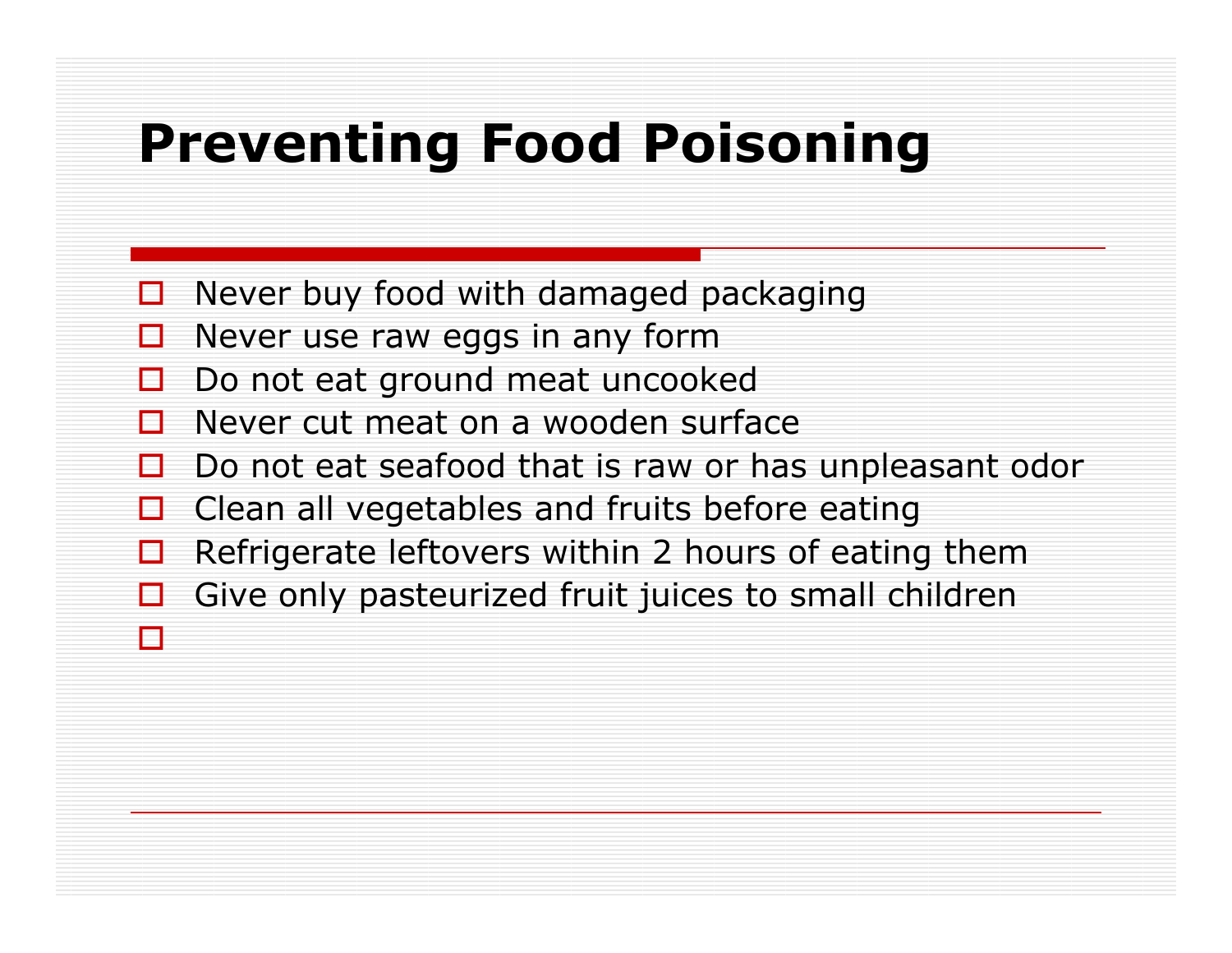### Preventing Food Poisoning

- $\Box$ Never buy food with damaged packaging
- $\Box$ Never use raw eggs in any form

 $\Box$ 

- $\Box$ Do not eat ground meat uncooked
- $\Box$ Never cut meat on a wooden surface
- $\Box$ Do not eat seafood that is raw or has unpleasant odor
- $\Box$ Clean all vegetables and fruits before eating
- $\Box$ Refrigerate leftovers within 2 hours of eating them
- $\Box$ □ Give only pasteurized fruit juices to small children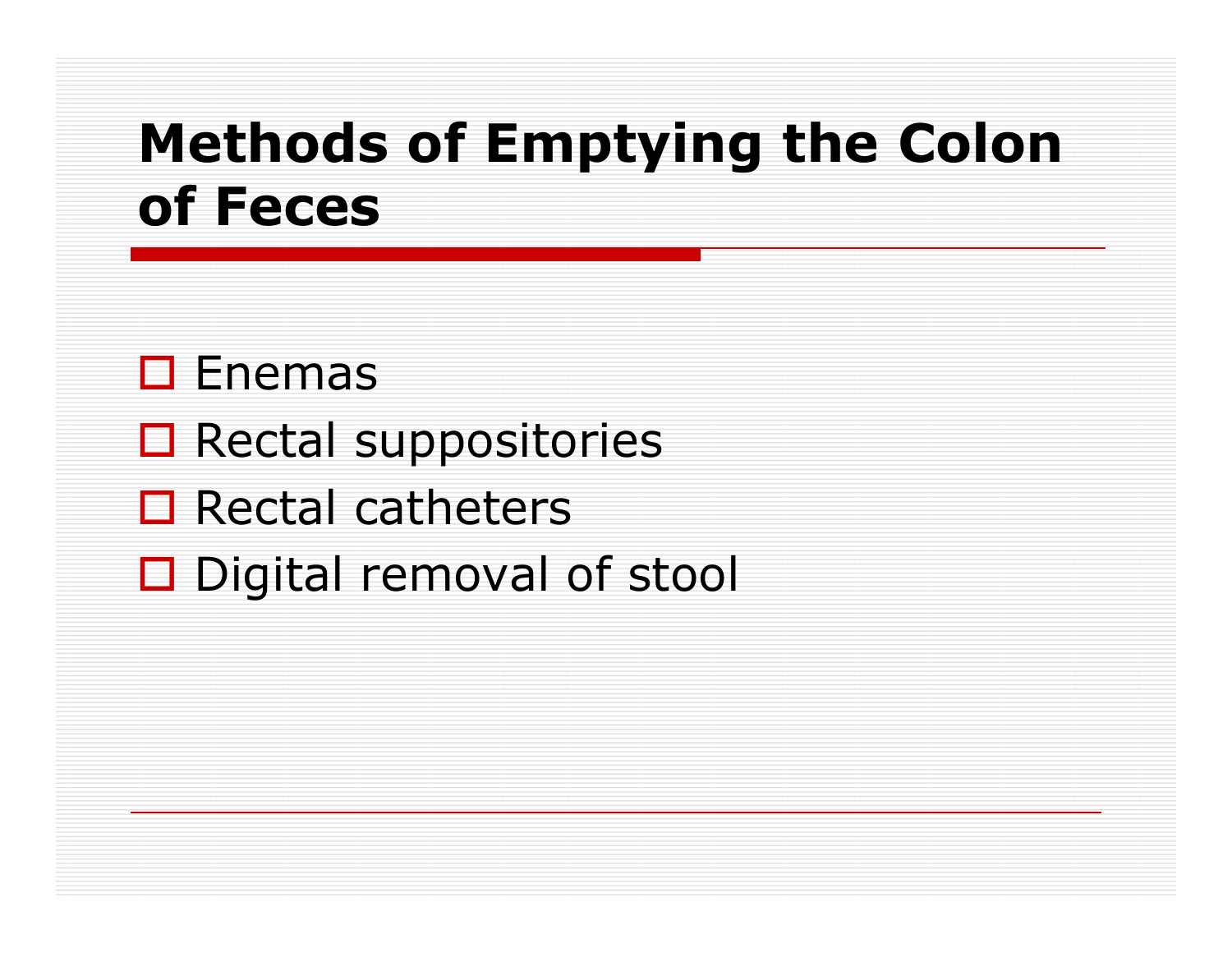### Methods of Emptying the Colon of Feces

# □ Enemas<br>□ P

- **O** Rectal suppositories
- □ Rectal catheters
- □ Digital removal of stool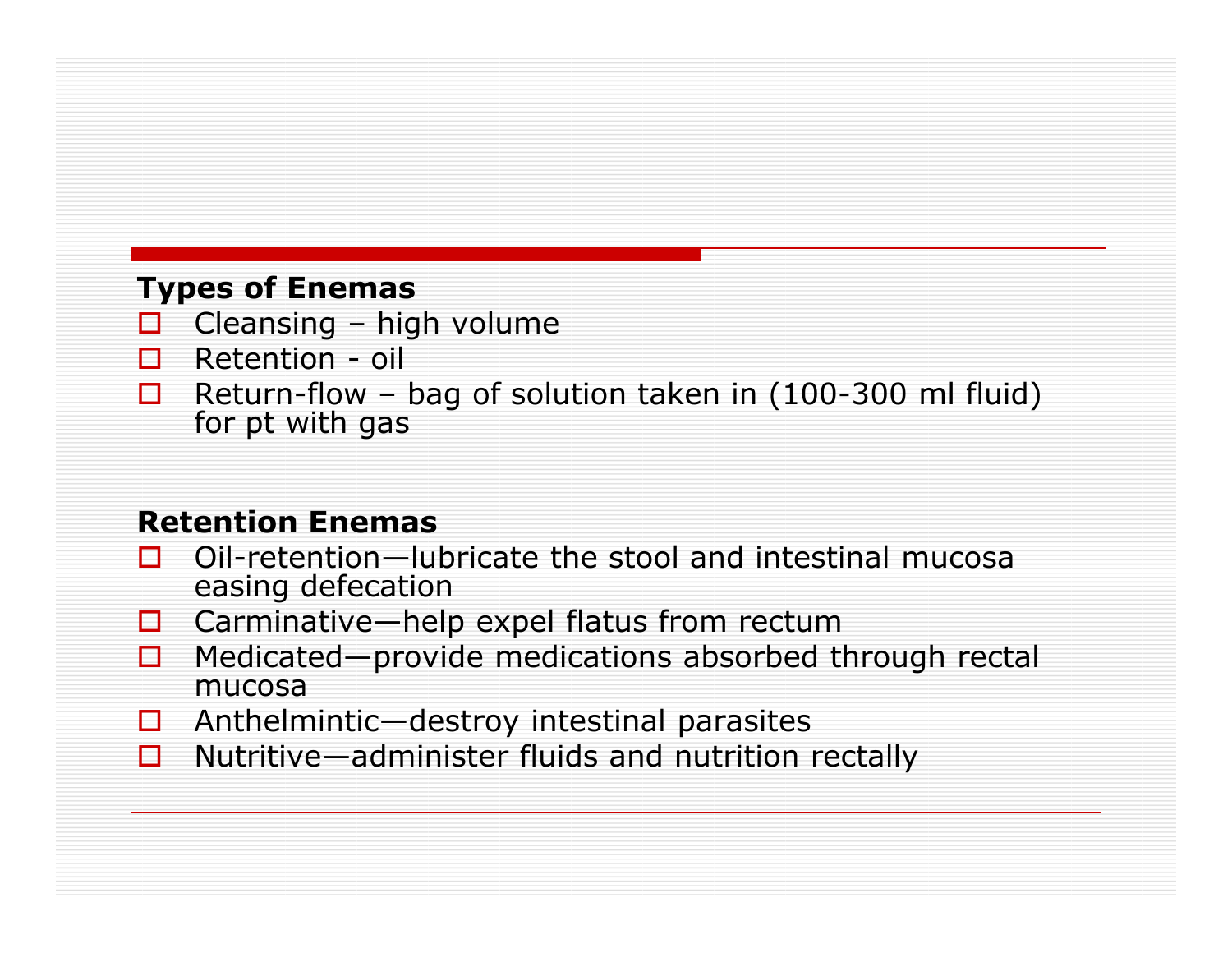#### Types of Enemas

- □ Cleansing high volume<br>□ Retention oil  $\Box$
- $\Box$ Retention - oil
- П. Return-flow – bag of solution taken in (100-300 ml fluid) for pt with gas

#### Retention Enemas

- $\Box$  Oil-retention—lubricate the stool and intestinal mucosa<br>easing defecation  $\Box$ easing defecation
- □ Carminative—help expel flatus from rectum<br>□ Medicated—provide medications absorbed t  $\Box$
- п ■ Medicated—provide medications absorbed through rectal<br>mucosa mucosa
- **Q** Anthelmintic—destroy intestinal parasites<br>D. Nutritive—administer fluids and putrition
- $\Box$ Nutritive—administer fluids and nutrition rectally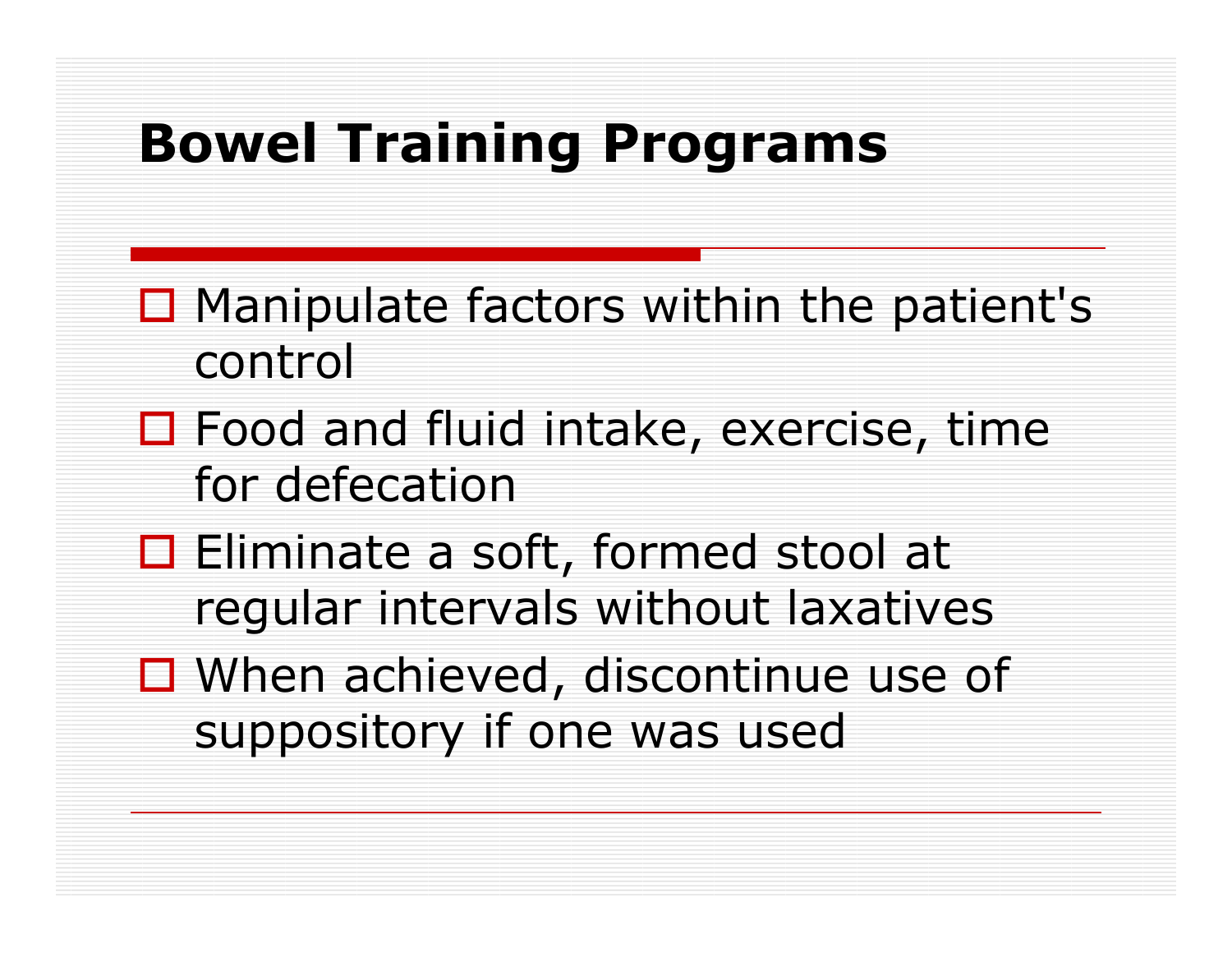### Bowel Training Programs

- $\Box$  Manipulate factors within the patient's  $\Box$ control
- $\square$  Food and fluid intake, exercise, time  $\overline{\mathbf{f}}$ for defecation
- □ Eliminate a soft, formed stool at<br>Eliminate a soft, formed stool at regular intervals without laxatives
- $\square$  When achieved, discontinue use of suppository if one was used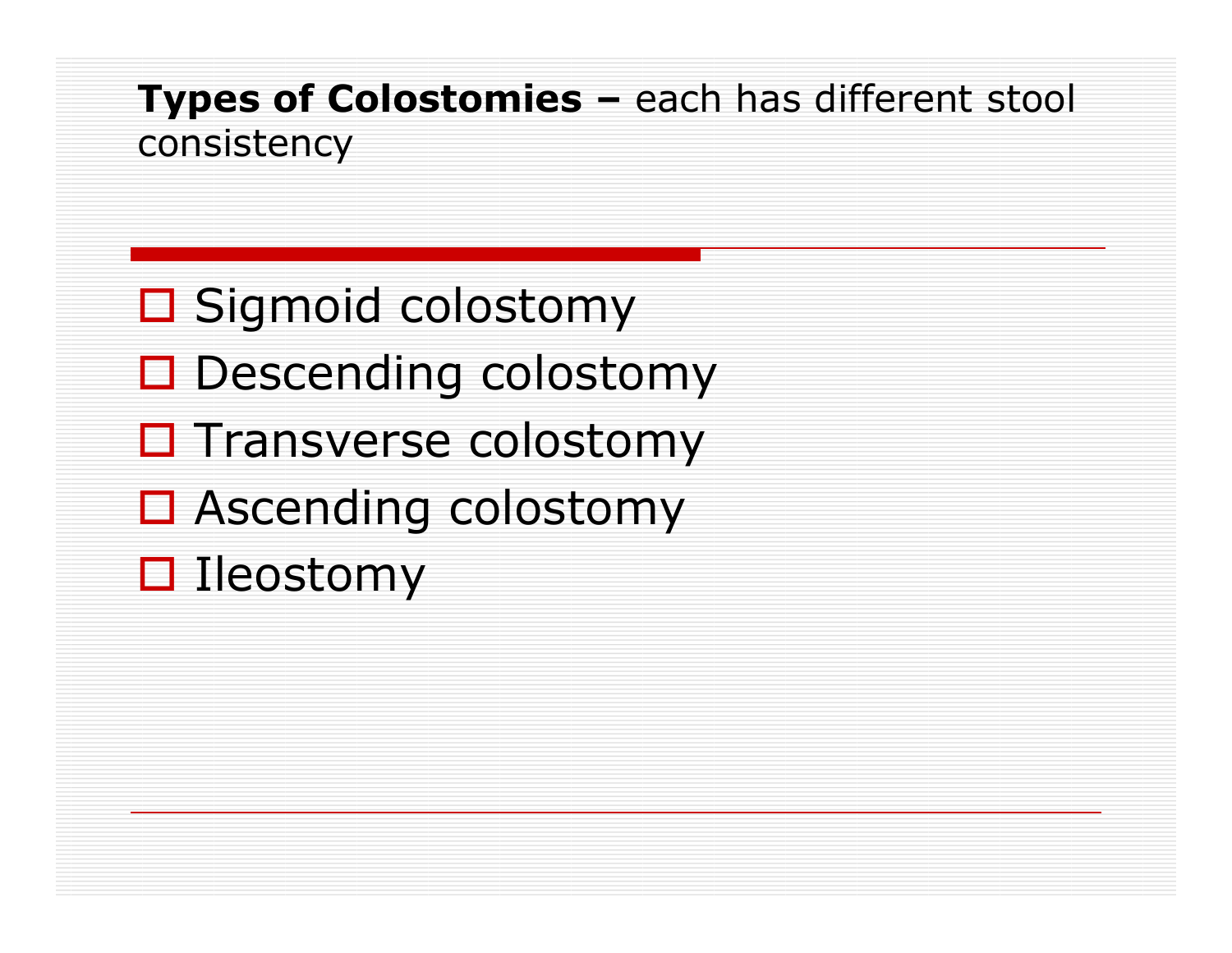#### **Types of Colostomies –** each has different stool consistency

- □ Sigmoid colostomy
- Descending colostomy
- **O** Transverse colostomy
- □ Ascending colostomy
- □ Ileostomy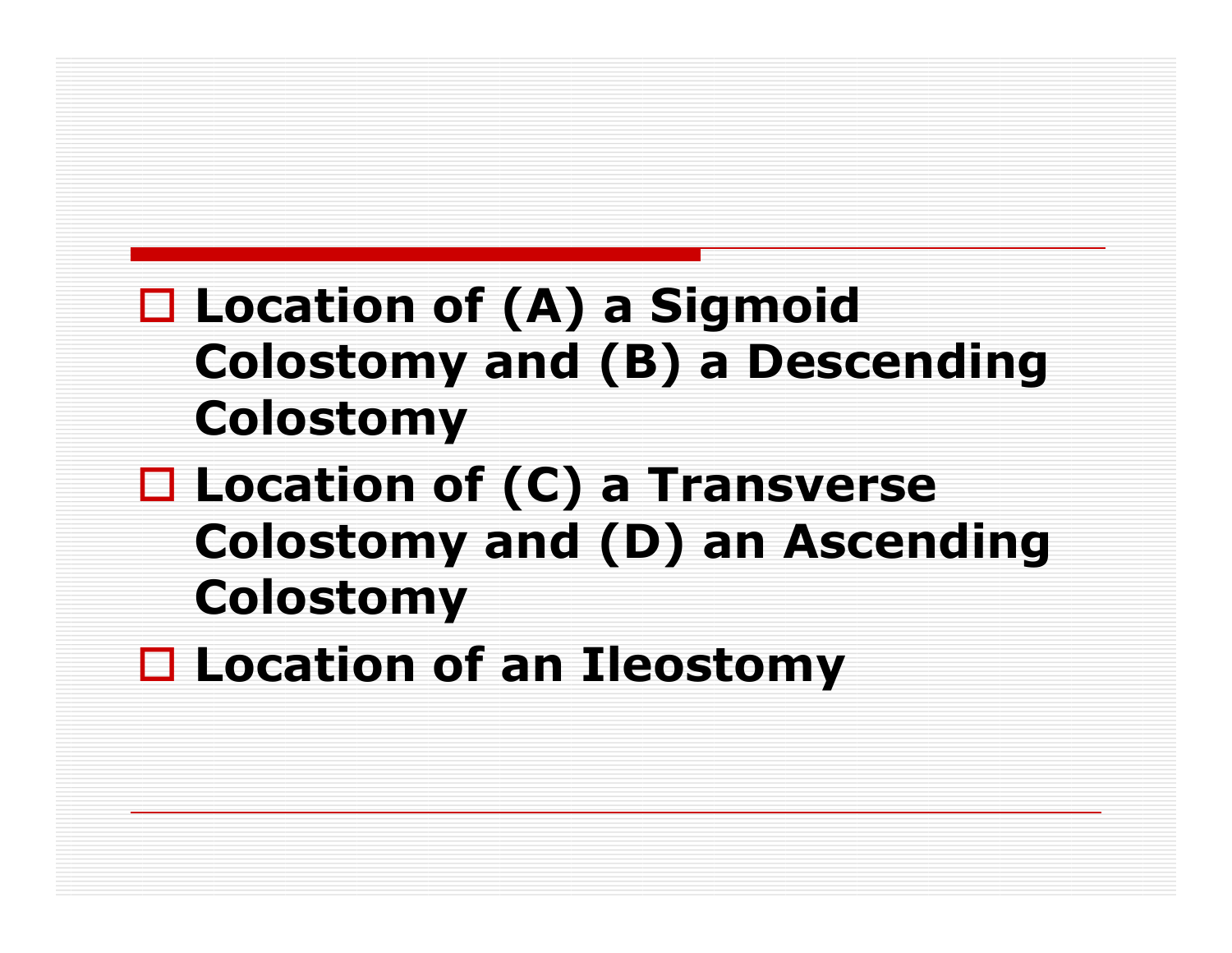### □ Location of (A) a Sigmoid<br>Colostomy and (B) a Desc Colostomy and (B) a Descending Colostomy

- □ Location of (C) a Transverse Colostomy and (D) an Ascending Colostomy
- Location of an Ileostomy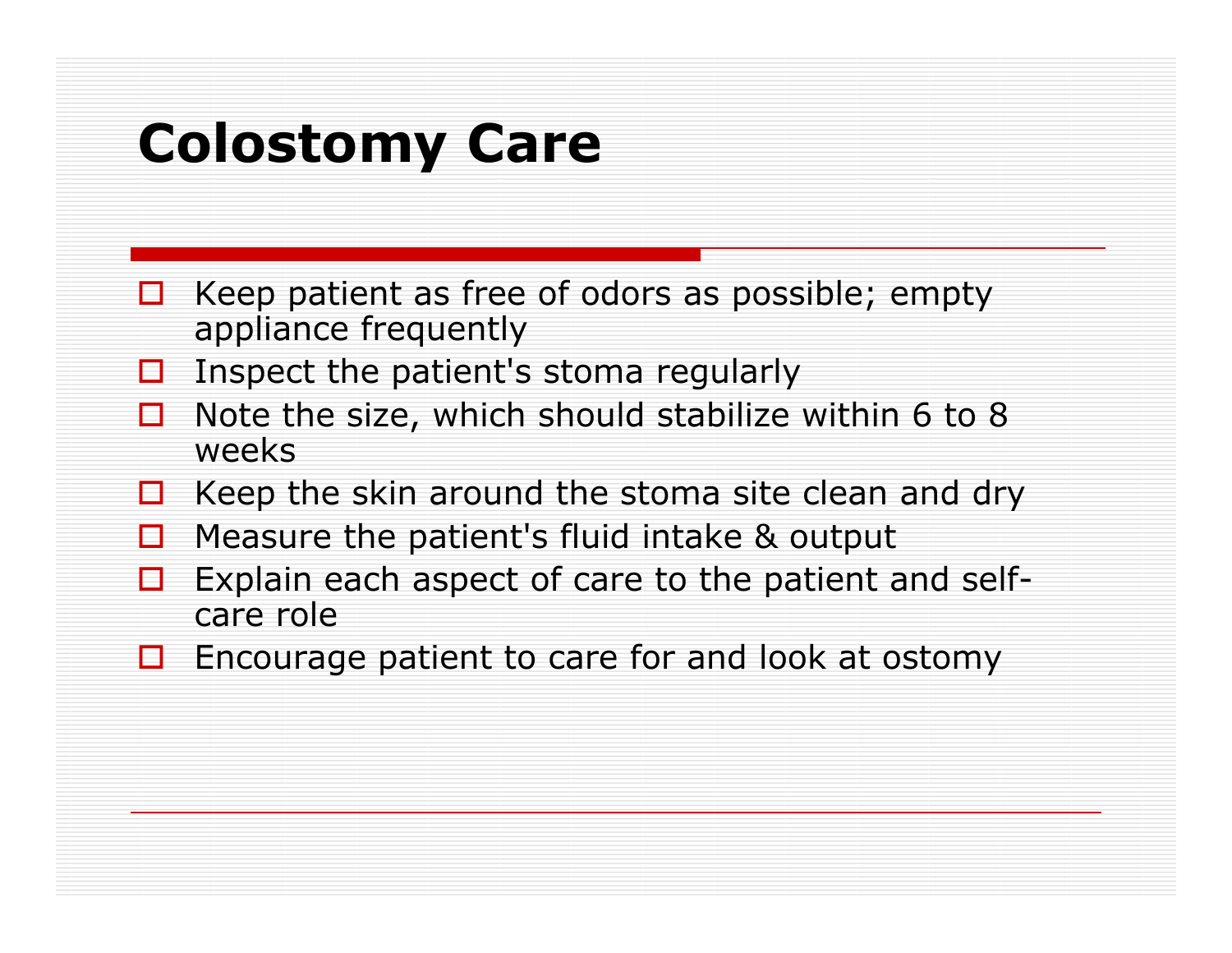### Colostomy Care

- П Keep patient as free of odors as possible; empty appliance frequently
- $\Box$  Inspect the patient's stoma regularly  $\Box$
- П. Note the size, which should stabilize within 6 to 8 weeks
- $\Box$  Keep the skin around the stoma site clean and dry ⊔
- П. Measure the patient's fluid intake & output
- П  $\Box$  Explain each aspect of care to the patient and self<br>care role care role
- $\Box$  Encourage patient to care for and look at ostomy  $\Box$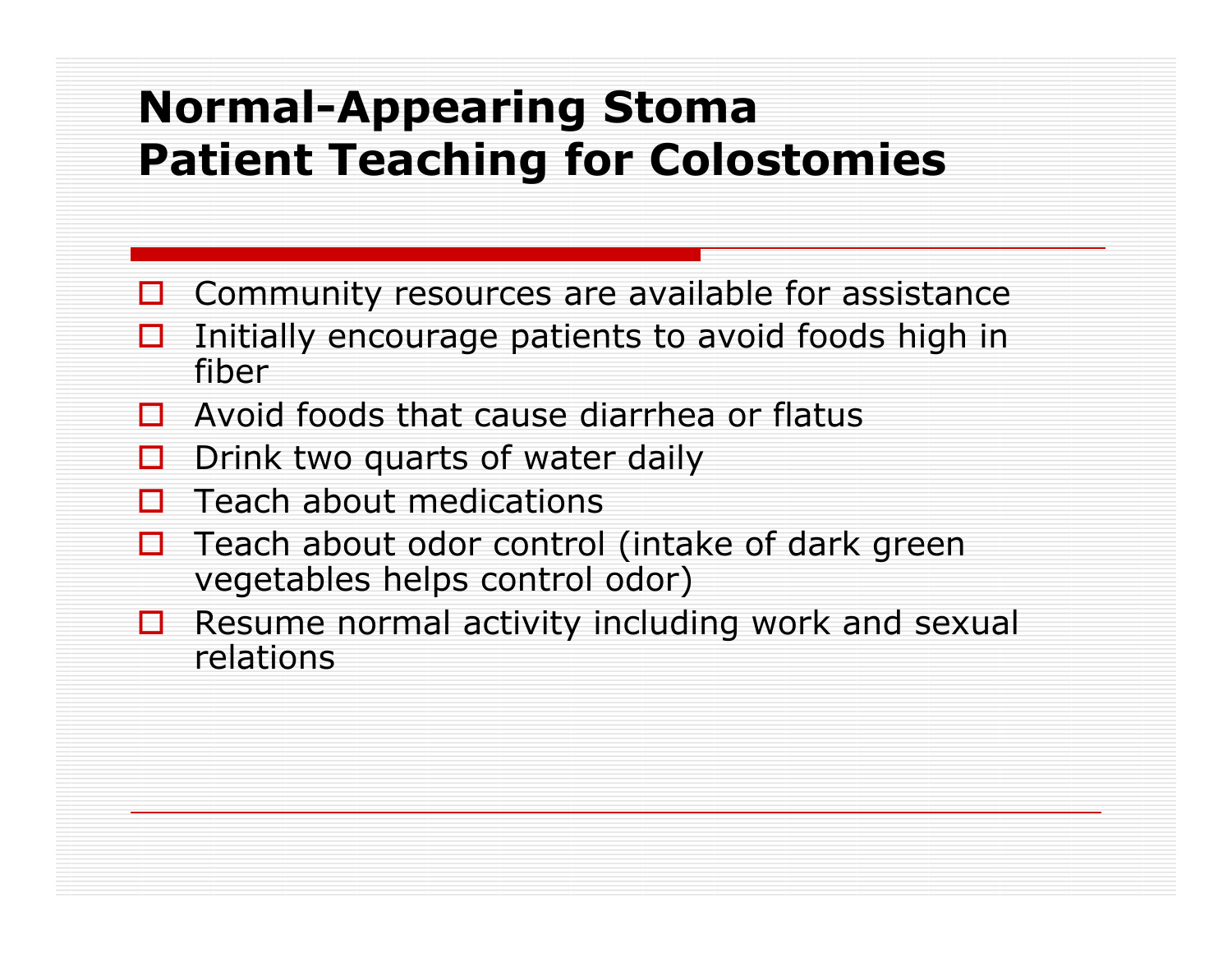#### Normal-Appearing StomaPatient Teaching for Colostomies

- $\square$  Community resources are available for assistance
- $\Box$  Initially encourage patients to avoid foods high in fiber
- $\Box$  Avoid foods that cause diarrhea or flatus
- П Drink two quarts of water daily
- $\Box$ Teach about medications
- П Teach about odor control (intake of dark green vegetables helps control odor)
- $\Box$  Resume normal activity including work and sexual relations  $\Box$ relations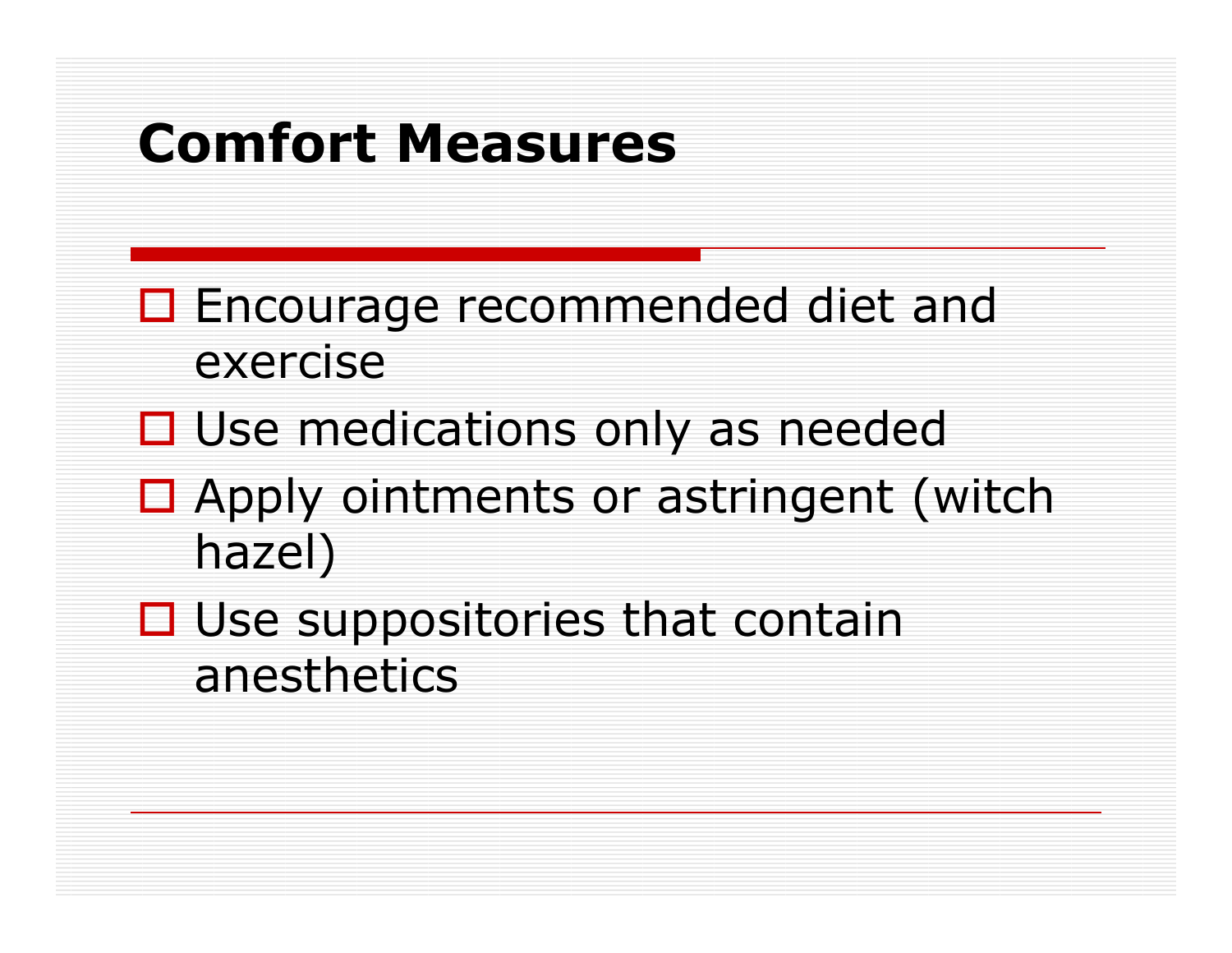### Comfort Measures

- □ Encourage recommended diet and exercise
- □ Use medications only as needed
- $\Box$  Apply ointments or astringent (witch hazel)
- $\Box$  Use suppositories that contain and that anesthetics